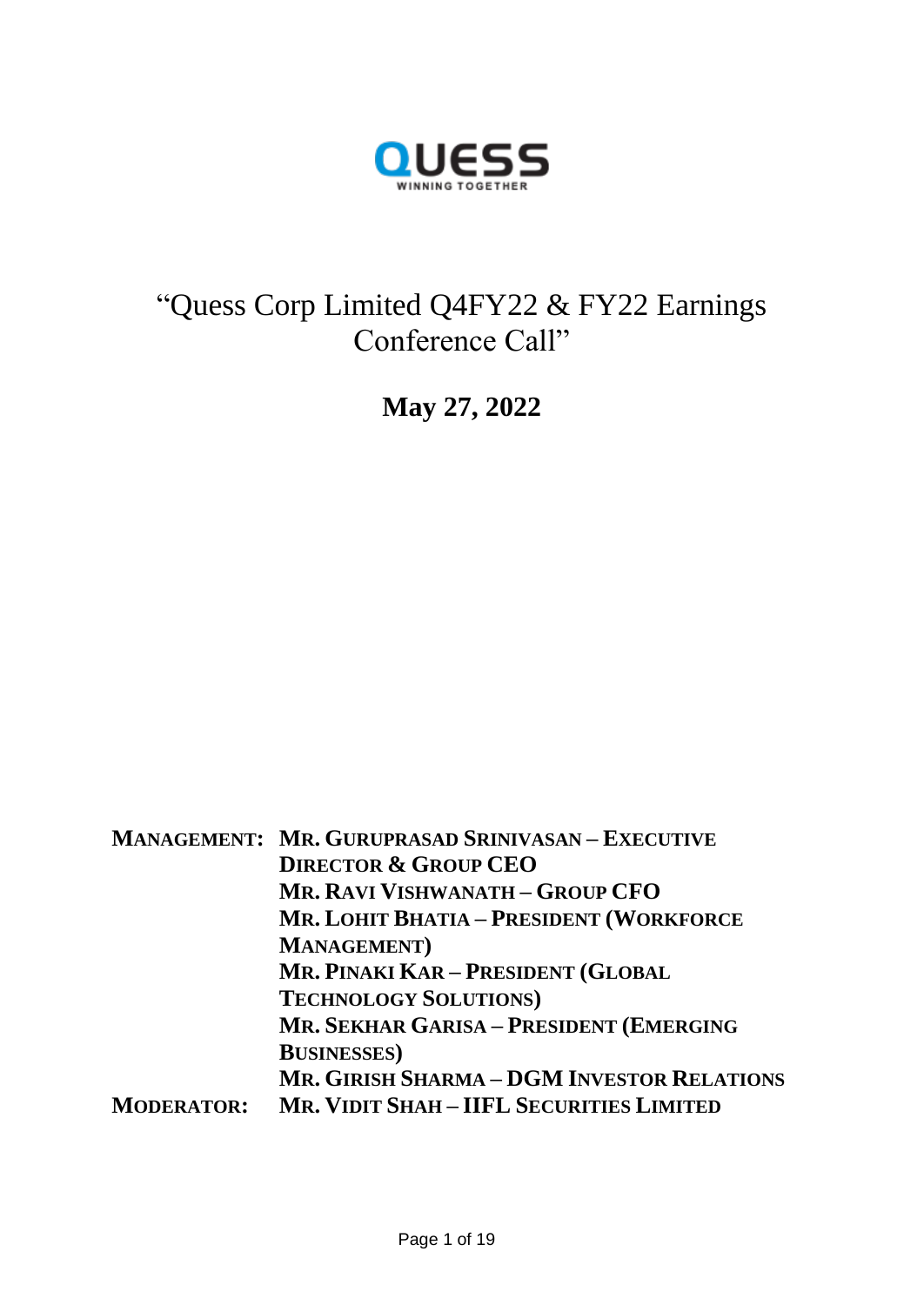

# "Quess Corp Limited Q4FY22 & FY22 Earnings Conference Call"

**May 27, 2022**

**MANAGEMENT: MR. GURUPRASAD SRINIVASAN – EXECUTIVE DIRECTOR & GROUP CEO MR. RAVI VISHWANATH – GROUP CFO MR. LOHIT BHATIA – PRESIDENT (WORKFORCE MANAGEMENT) MR. PINAKI KAR – PRESIDENT (GLOBAL TECHNOLOGY SOLUTIONS) MR. SEKHAR GARISA – PRESIDENT (EMERGING BUSINESSES) MR. GIRISH SHARMA – DGM INVESTOR RELATIONS MODERATOR: MR. VIDIT SHAH – IIFL SECURITIES LIMITED**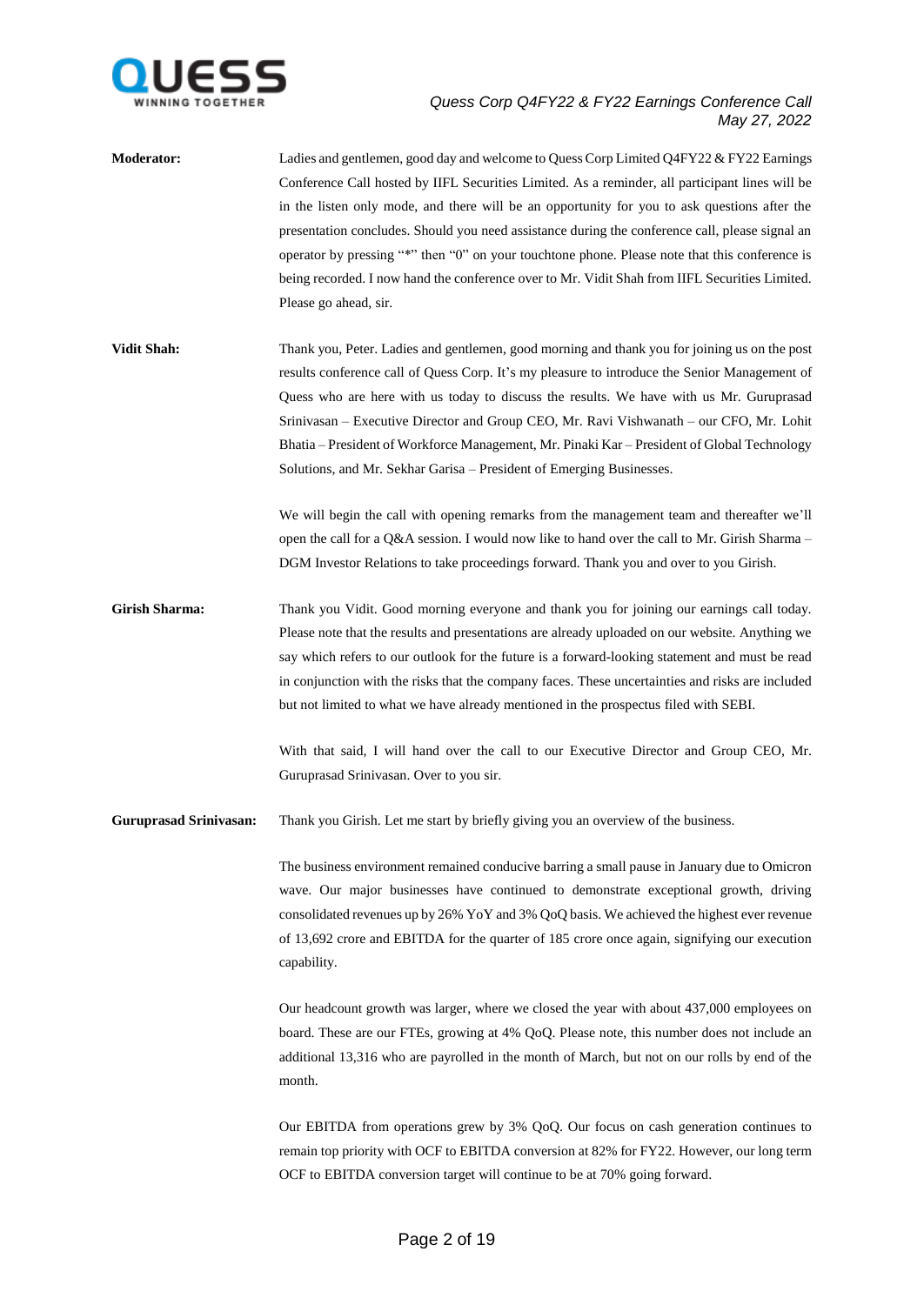

**Moderator:** Ladies and gentlemen, good day and welcome to Quess Corp Limited Q4FY22 & FY22 Earnings Conference Call hosted by IIFL Securities Limited. As a reminder, all participant lines will be in the listen only mode, and there will be an opportunity for you to ask questions after the presentation concludes. Should you need assistance during the conference call, please signal an operator by pressing "\*" then "0" on your touchtone phone. Please note that this conference is being recorded. I now hand the conference over to Mr. Vidit Shah from IIFL Securities Limited. Please go ahead, sir.

**Vidit Shah:** Thank you, Peter. Ladies and gentlemen, good morning and thank you for joining us on the post results conference call of Quess Corp. It's my pleasure to introduce the Senior Management of Quess who are here with us today to discuss the results. We have with us Mr. Guruprasad Srinivasan – Executive Director and Group CEO, Mr. Ravi Vishwanath – our CFO, Mr. Lohit Bhatia – President of Workforce Management, Mr. Pinaki Kar – President of Global Technology Solutions, and Mr. Sekhar Garisa – President of Emerging Businesses.

> We will begin the call with opening remarks from the management team and thereafter we'll open the call for a Q&A session. I would now like to hand over the call to Mr. Girish Sharma – DGM Investor Relations to take proceedings forward. Thank you and over to you Girish.

**Girish Sharma:** Thank you Vidit. Good morning everyone and thank you for joining our earnings call today. Please note that the results and presentations are already uploaded on our website. Anything we say which refers to our outlook for the future is a forward-looking statement and must be read in conjunction with the risks that the company faces. These uncertainties and risks are included but not limited to what we have already mentioned in the prospectus filed with SEBI.

> With that said, I will hand over the call to our Executive Director and Group CEO, Mr. Guruprasad Srinivasan. Over to you sir.

**Guruprasad Srinivasan:** Thank you Girish. Let me start by briefly giving you an overview of the business.

The business environment remained conducive barring a small pause in January due to Omicron wave. Our major businesses have continued to demonstrate exceptional growth, driving consolidated revenues up by 26% YoY and 3% QoQ basis. We achieved the highest ever revenue of 13,692 crore and EBITDA for the quarter of 185 crore once again, signifying our execution capability.

Our headcount growth was larger, where we closed the year with about 437,000 employees on board. These are our FTEs, growing at 4% QoQ. Please note, this number does not include an additional 13,316 who are payrolled in the month of March, but not on our rolls by end of the month.

Our EBITDA from operations grew by 3% QoQ. Our focus on cash generation continues to remain top priority with OCF to EBITDA conversion at 82% for FY22. However, our long term OCF to EBITDA conversion target will continue to be at 70% going forward.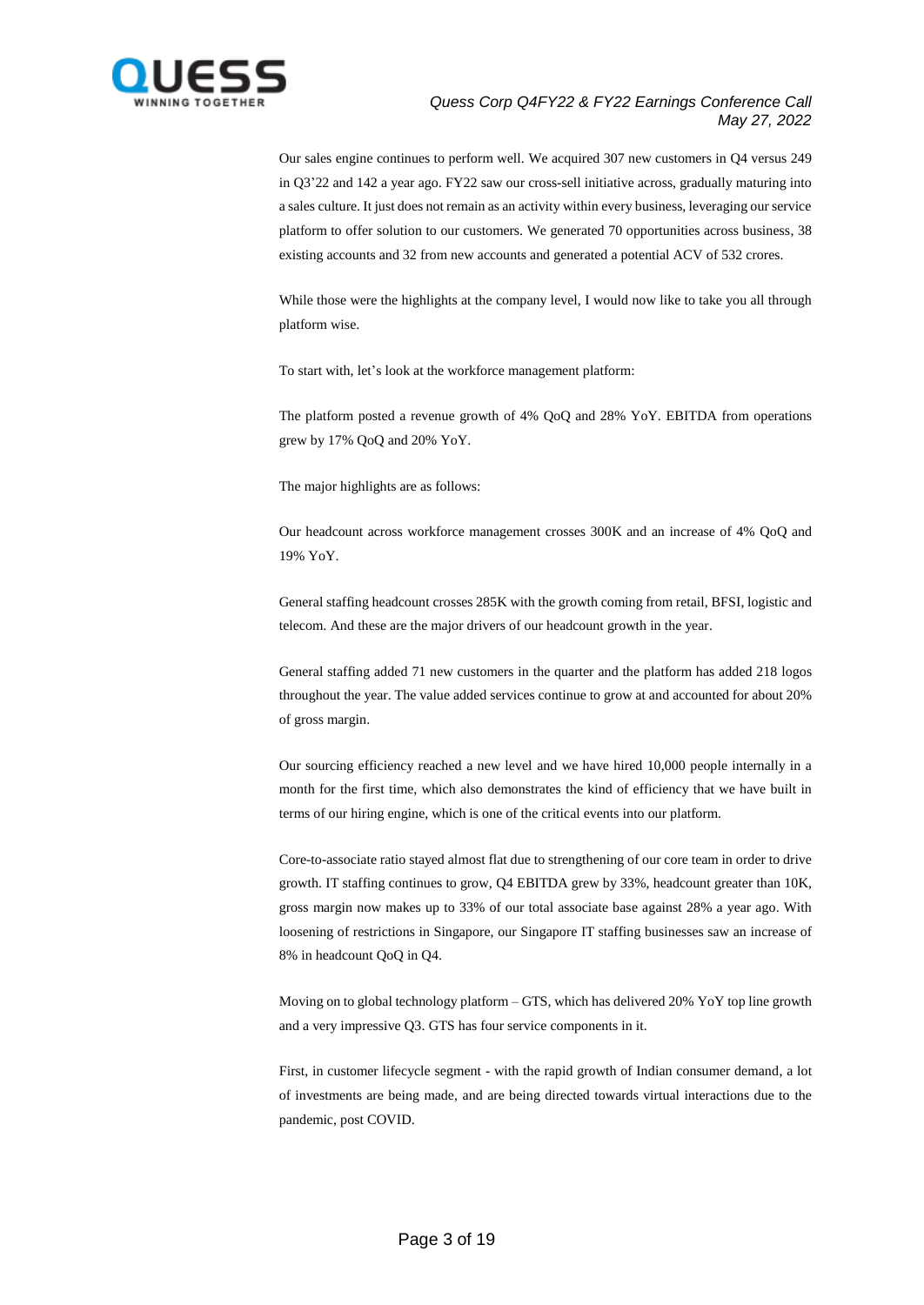

Our sales engine continues to perform well. We acquired 307 new customers in Q4 versus 249 in Q3'22 and 142 a year ago. FY22 saw our cross-sell initiative across, gradually maturing into a sales culture. It just does not remain as an activity within every business, leveraging our service platform to offer solution to our customers. We generated 70 opportunities across business, 38 existing accounts and 32 from new accounts and generated a potential ACV of 532 crores.

While those were the highlights at the company level, I would now like to take you all through platform wise.

To start with, let's look at the workforce management platform:

The platform posted a revenue growth of 4% QoQ and 28% YoY. EBITDA from operations grew by 17% QoQ and 20% YoY.

The major highlights are as follows:

Our headcount across workforce management crosses 300K and an increase of 4% QoQ and 19% YoY.

General staffing headcount crosses 285K with the growth coming from retail, BFSI, logistic and telecom. And these are the major drivers of our headcount growth in the year.

General staffing added 71 new customers in the quarter and the platform has added 218 logos throughout the year. The value added services continue to grow at and accounted for about 20% of gross margin.

Our sourcing efficiency reached a new level and we have hired 10,000 people internally in a month for the first time, which also demonstrates the kind of efficiency that we have built in terms of our hiring engine, which is one of the critical events into our platform.

Core-to-associate ratio stayed almost flat due to strengthening of our core team in order to drive growth. IT staffing continues to grow, Q4 EBITDA grew by 33%, headcount greater than 10K, gross margin now makes up to 33% of our total associate base against 28% a year ago. With loosening of restrictions in Singapore, our Singapore IT staffing businesses saw an increase of 8% in headcount QoQ in Q4.

Moving on to global technology platform – GTS, which has delivered 20% YoY top line growth and a very impressive Q3. GTS has four service components in it.

First, in customer lifecycle segment - with the rapid growth of Indian consumer demand, a lot of investments are being made, and are being directed towards virtual interactions due to the pandemic, post COVID.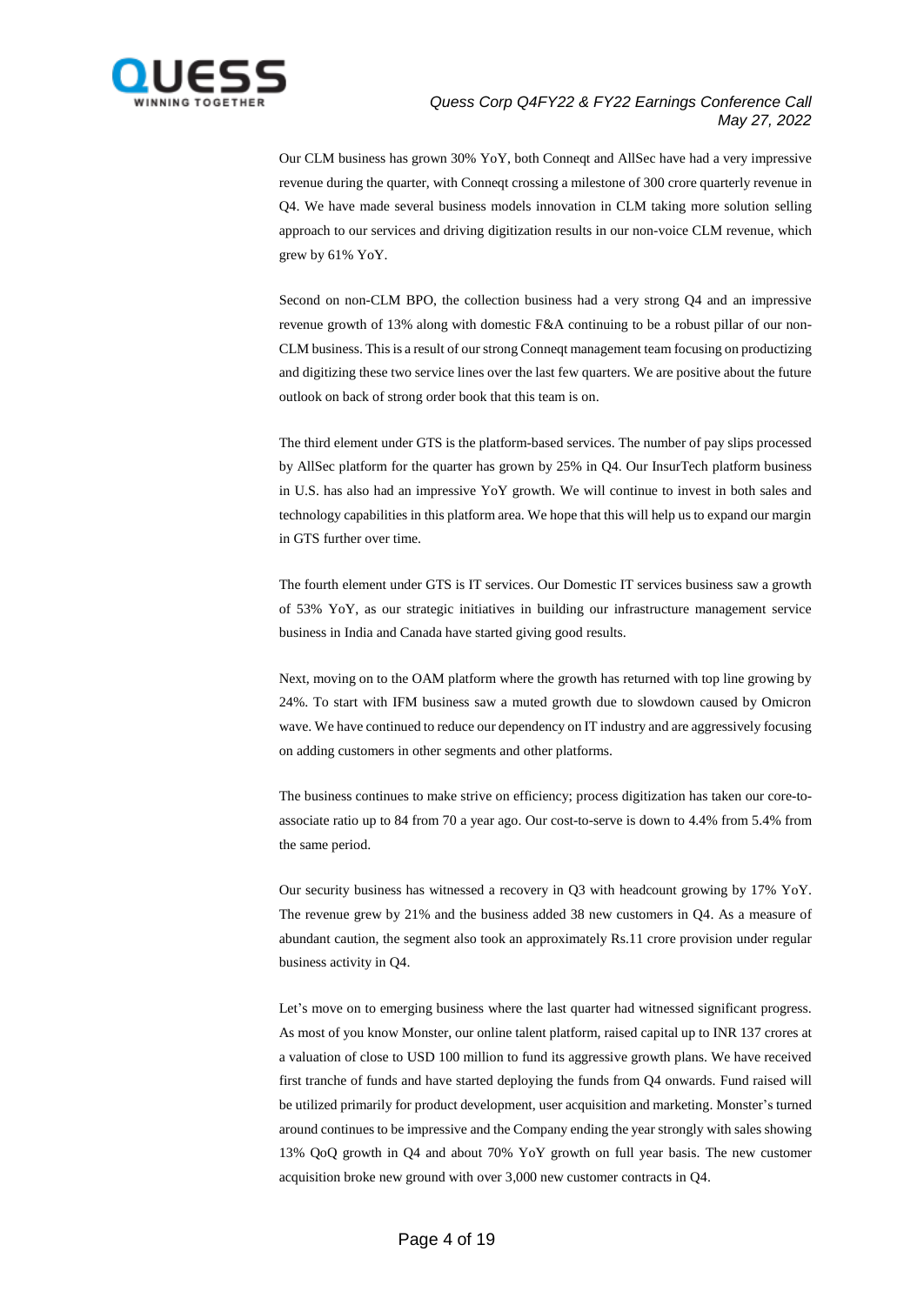

Our CLM business has grown 30% YoY, both Conneqt and AllSec have had a very impressive revenue during the quarter, with Conneqt crossing a milestone of 300 crore quarterly revenue in Q4. We have made several business models innovation in CLM taking more solution selling approach to our services and driving digitization results in our non-voice CLM revenue, which grew by 61% YoY.

Second on non-CLM BPO, the collection business had a very strong Q4 and an impressive revenue growth of 13% along with domestic F&A continuing to be a robust pillar of our non-CLM business. This is a result of our strong Conneqt management team focusing on productizing and digitizing these two service lines over the last few quarters. We are positive about the future outlook on back of strong order book that this team is on.

The third element under GTS is the platform-based services. The number of pay slips processed by AllSec platform for the quarter has grown by 25% in Q4. Our InsurTech platform business in U.S. has also had an impressive YoY growth. We will continue to invest in both sales and technology capabilities in this platform area. We hope that this will help us to expand our margin in GTS further over time.

The fourth element under GTS is IT services. Our Domestic IT services business saw a growth of 53% YoY, as our strategic initiatives in building our infrastructure management service business in India and Canada have started giving good results.

Next, moving on to the OAM platform where the growth has returned with top line growing by 24%. To start with IFM business saw a muted growth due to slowdown caused by Omicron wave. We have continued to reduce our dependency on IT industry and are aggressively focusing on adding customers in other segments and other platforms.

The business continues to make strive on efficiency; process digitization has taken our core-toassociate ratio up to 84 from 70 a year ago. Our cost-to-serve is down to 4.4% from 5.4% from the same period.

Our security business has witnessed a recovery in Q3 with headcount growing by 17% YoY. The revenue grew by 21% and the business added 38 new customers in Q4. As a measure of abundant caution, the segment also took an approximately Rs.11 crore provision under regular business activity in Q4.

Let's move on to emerging business where the last quarter had witnessed significant progress. As most of you know Monster, our online talent platform, raised capital up to INR 137 crores at a valuation of close to USD 100 million to fund its aggressive growth plans. We have received first tranche of funds and have started deploying the funds from Q4 onwards. Fund raised will be utilized primarily for product development, user acquisition and marketing. Monster's turned around continues to be impressive and the Company ending the year strongly with sales showing 13% QoQ growth in Q4 and about 70% YoY growth on full year basis. The new customer acquisition broke new ground with over 3,000 new customer contracts in Q4.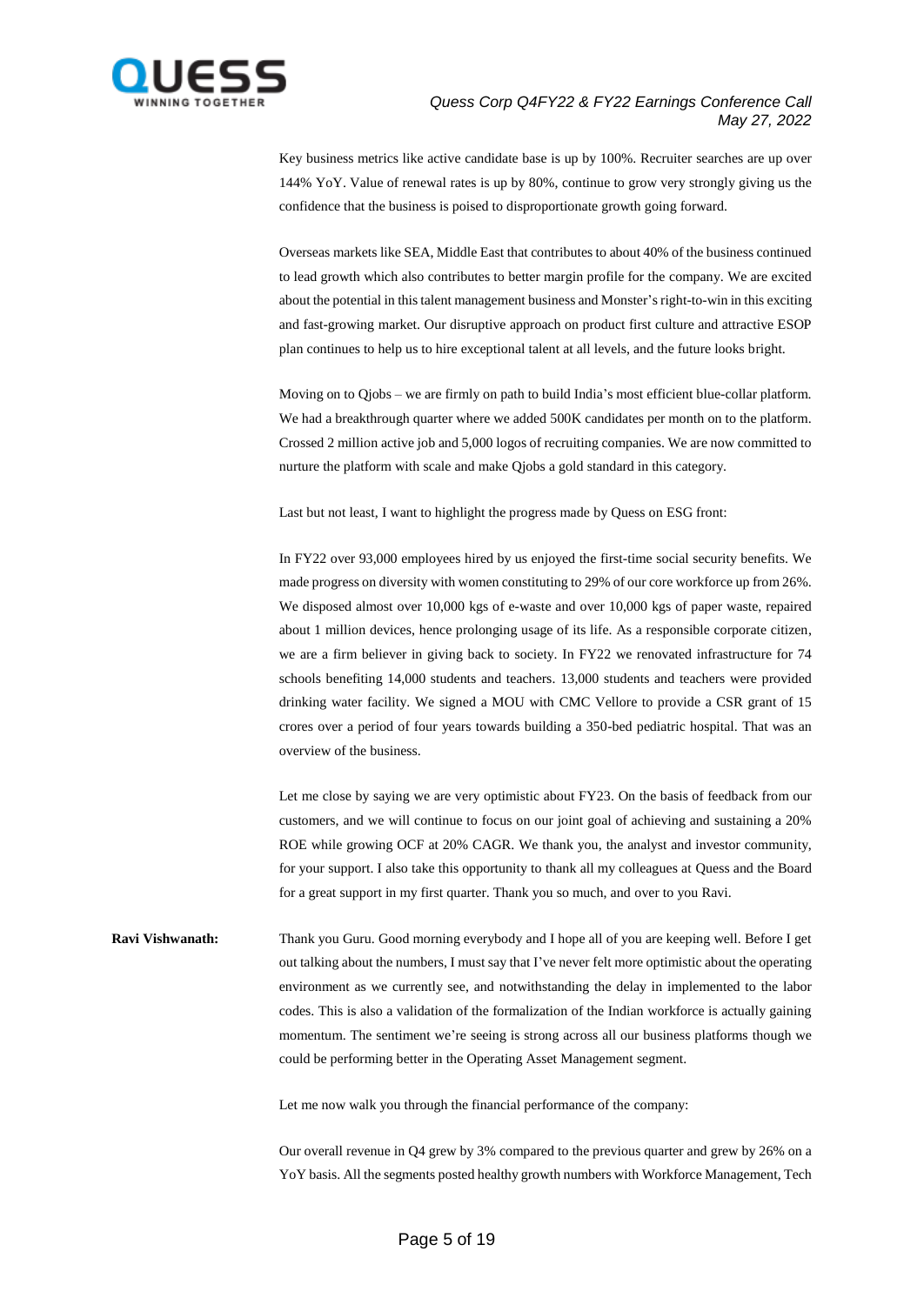

Key business metrics like active candidate base is up by 100%. Recruiter searches are up over 144% YoY. Value of renewal rates is up by 80%, continue to grow very strongly giving us the confidence that the business is poised to disproportionate growth going forward.

Overseas markets like SEA, Middle East that contributes to about 40% of the business continued to lead growth which also contributes to better margin profile for the company. We are excited about the potential in thistalent management business and Monster's right-to-win in this exciting and fast-growing market. Our disruptive approach on product first culture and attractive ESOP plan continues to help us to hire exceptional talent at all levels, and the future looks bright.

Moving on to Qjobs – we are firmly on path to build India's most efficient blue-collar platform. We had a breakthrough quarter where we added 500K candidates per month on to the platform. Crossed 2 million active job and 5,000 logos of recruiting companies. We are now committed to nurture the platform with scale and make Qjobs a gold standard in this category.

Last but not least, I want to highlight the progress made by Quess on ESG front:

In FY22 over 93,000 employees hired by us enjoyed the first-time social security benefits. We made progress on diversity with women constituting to 29% of our core workforce up from 26%. We disposed almost over 10,000 kgs of e-waste and over 10,000 kgs of paper waste, repaired about 1 million devices, hence prolonging usage of its life. As a responsible corporate citizen, we are a firm believer in giving back to society. In FY22 we renovated infrastructure for 74 schools benefiting 14,000 students and teachers. 13,000 students and teachers were provided drinking water facility. We signed a MOU with CMC Vellore to provide a CSR grant of 15 crores over a period of four years towards building a 350-bed pediatric hospital. That was an overview of the business.

Let me close by saying we are very optimistic about FY23. On the basis of feedback from our customers, and we will continue to focus on our joint goal of achieving and sustaining a 20% ROE while growing OCF at 20% CAGR. We thank you, the analyst and investor community, for your support. I also take this opportunity to thank all my colleagues at Quess and the Board for a great support in my first quarter. Thank you so much, and over to you Ravi.

**Ravi Vishwanath:** Thank you Guru. Good morning everybody and I hope all of you are keeping well. Before I get out talking about the numbers, I must say that I've never felt more optimistic about the operating environment as we currently see, and notwithstanding the delay in implemented to the labor codes. This is also a validation of the formalization of the Indian workforce is actually gaining momentum. The sentiment we're seeing is strong across all our business platforms though we could be performing better in the Operating Asset Management segment.

Let me now walk you through the financial performance of the company:

Our overall revenue in Q4 grew by 3% compared to the previous quarter and grew by 26% on a YoY basis. All the segments posted healthy growth numbers with Workforce Management, Tech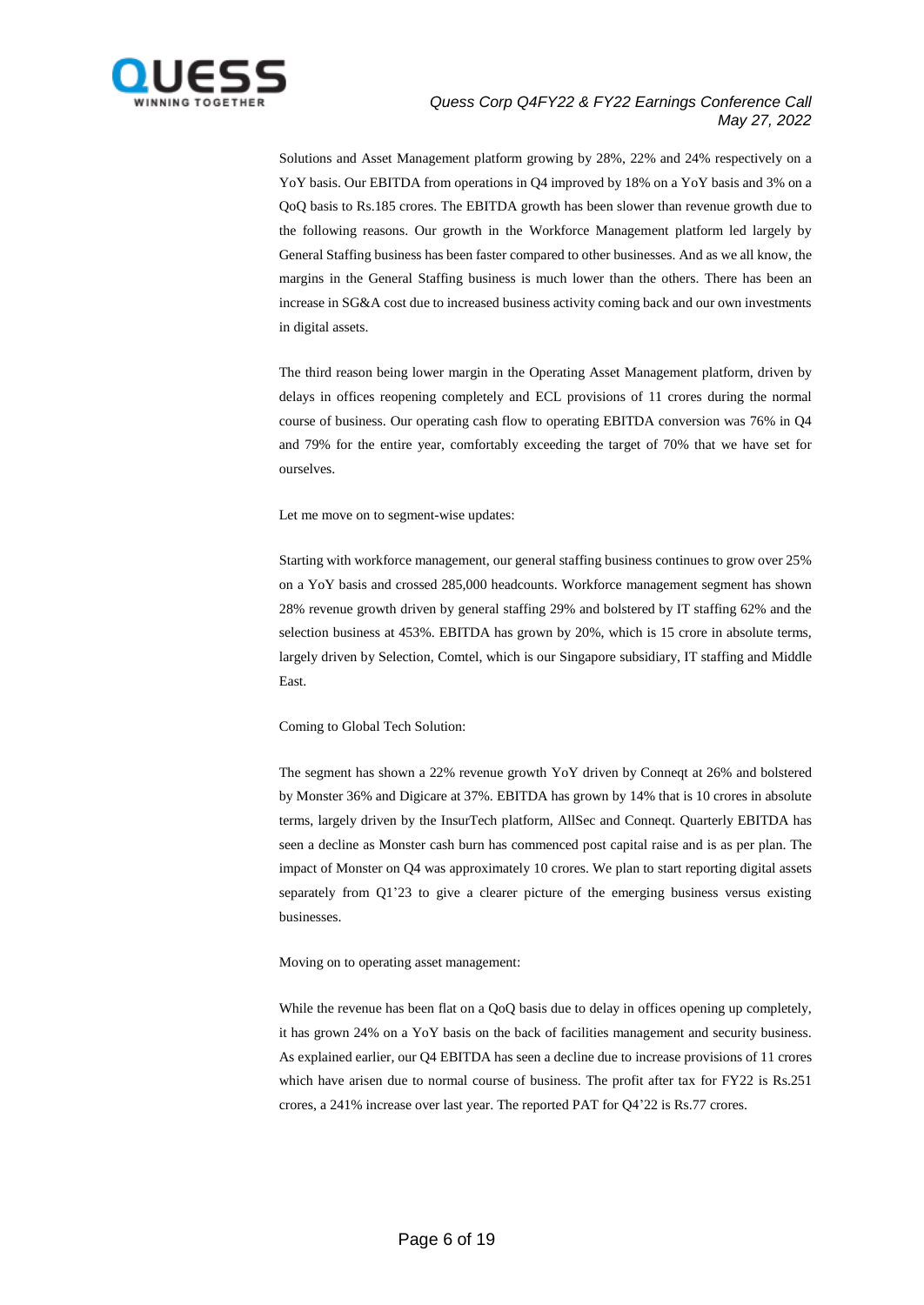

Solutions and Asset Management platform growing by 28%, 22% and 24% respectively on a YoY basis. Our EBITDA from operations in Q4 improved by 18% on a YoY basis and 3% on a QoQ basis to Rs.185 crores. The EBITDA growth has been slower than revenue growth due to the following reasons. Our growth in the Workforce Management platform led largely by General Staffing business has been faster compared to other businesses. And as we all know, the margins in the General Staffing business is much lower than the others. There has been an increase in SG&A cost due to increased business activity coming back and our own investments in digital assets.

The third reason being lower margin in the Operating Asset Management platform, driven by delays in offices reopening completely and ECL provisions of 11 crores during the normal course of business. Our operating cash flow to operating EBITDA conversion was 76% in Q4 and 79% for the entire year, comfortably exceeding the target of 70% that we have set for ourselves.

Let me move on to segment-wise updates:

Starting with workforce management, our general staffing business continues to grow over 25% on a YoY basis and crossed 285,000 headcounts. Workforce management segment has shown 28% revenue growth driven by general staffing 29% and bolstered by IT staffing 62% and the selection business at 453%. EBITDA has grown by 20%, which is 15 crore in absolute terms, largely driven by Selection, Comtel, which is our Singapore subsidiary, IT staffing and Middle East.

Coming to Global Tech Solution:

The segment has shown a 22% revenue growth YoY driven by Conneqt at 26% and bolstered by Monster 36% and Digicare at 37%. EBITDA has grown by 14% that is 10 crores in absolute terms, largely driven by the InsurTech platform, AllSec and Conneqt. Quarterly EBITDA has seen a decline as Monster cash burn has commenced post capital raise and is as per plan. The impact of Monster on Q4 was approximately 10 crores. We plan to start reporting digital assets separately from Q1'23 to give a clearer picture of the emerging business versus existing businesses.

Moving on to operating asset management:

While the revenue has been flat on a QoQ basis due to delay in offices opening up completely, it has grown 24% on a YoY basis on the back of facilities management and security business. As explained earlier, our Q4 EBITDA has seen a decline due to increase provisions of 11 crores which have arisen due to normal course of business. The profit after tax for FY22 is Rs.251 crores, a 241% increase over last year. The reported PAT for Q4'22 is Rs.77 crores.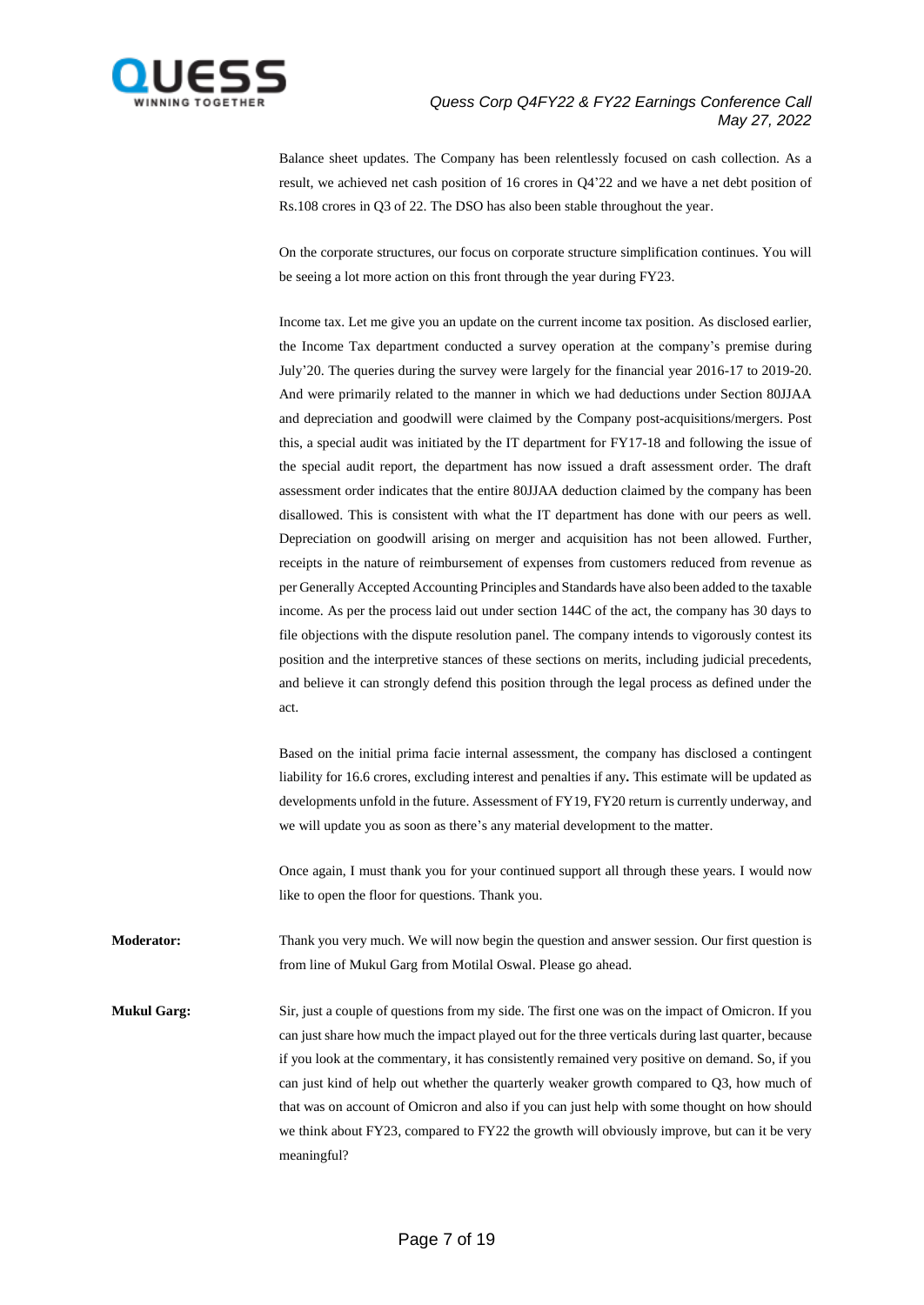

Balance sheet updates. The Company has been relentlessly focused on cash collection. As a result, we achieved net cash position of 16 crores in Q4'22 and we have a net debt position of Rs.108 crores in Q3 of 22. The DSO has also been stable throughout the year.

On the corporate structures, our focus on corporate structure simplification continues. You will be seeing a lot more action on this front through the year during FY23.

Income tax. Let me give you an update on the current income tax position. As disclosed earlier, the Income Tax department conducted a survey operation at the company's premise during July'20. The queries during the survey were largely for the financial year 2016-17 to 2019-20. And were primarily related to the manner in which we had deductions under Section 80JJAA and depreciation and goodwill were claimed by the Company post-acquisitions/mergers. Post this, a special audit was initiated by the IT department for FY17-18 and following the issue of the special audit report, the department has now issued a draft assessment order. The draft assessment order indicates that the entire 80JJAA deduction claimed by the company has been disallowed. This is consistent with what the IT department has done with our peers as well. Depreciation on goodwill arising on merger and acquisition has not been allowed. Further, receipts in the nature of reimbursement of expenses from customers reduced from revenue as per Generally Accepted Accounting Principles and Standards have also been added to the taxable income. As per the process laid out under section 144C of the act, the company has 30 days to file objections with the dispute resolution panel. The company intends to vigorously contest its position and the interpretive stances of these sections on merits, including judicial precedents, and believe it can strongly defend this position through the legal process as defined under the act.

Based on the initial prima facie internal assessment, the company has disclosed a contingent liability for 16.6 crores, excluding interest and penalties if any**.** This estimate will be updated as developments unfold in the future. Assessment of FY19, FY20 return is currently underway, and we will update you as soon as there's any material development to the matter.

Once again, I must thank you for your continued support all through these years. I would now like to open the floor for questions. Thank you.

**Moderator:** Thank you very much. We will now begin the question and answer session. Our first question is from line of Mukul Garg from Motilal Oswal. Please go ahead.

**Mukul Garg:** Sir, just a couple of questions from my side. The first one was on the impact of Omicron. If you can just share how much the impact played out for the three verticals during last quarter, because if you look at the commentary, it has consistently remained very positive on demand. So, if you can just kind of help out whether the quarterly weaker growth compared to Q3, how much of that was on account of Omicron and also if you can just help with some thought on how should we think about FY23, compared to FY22 the growth will obviously improve, but can it be very meaningful?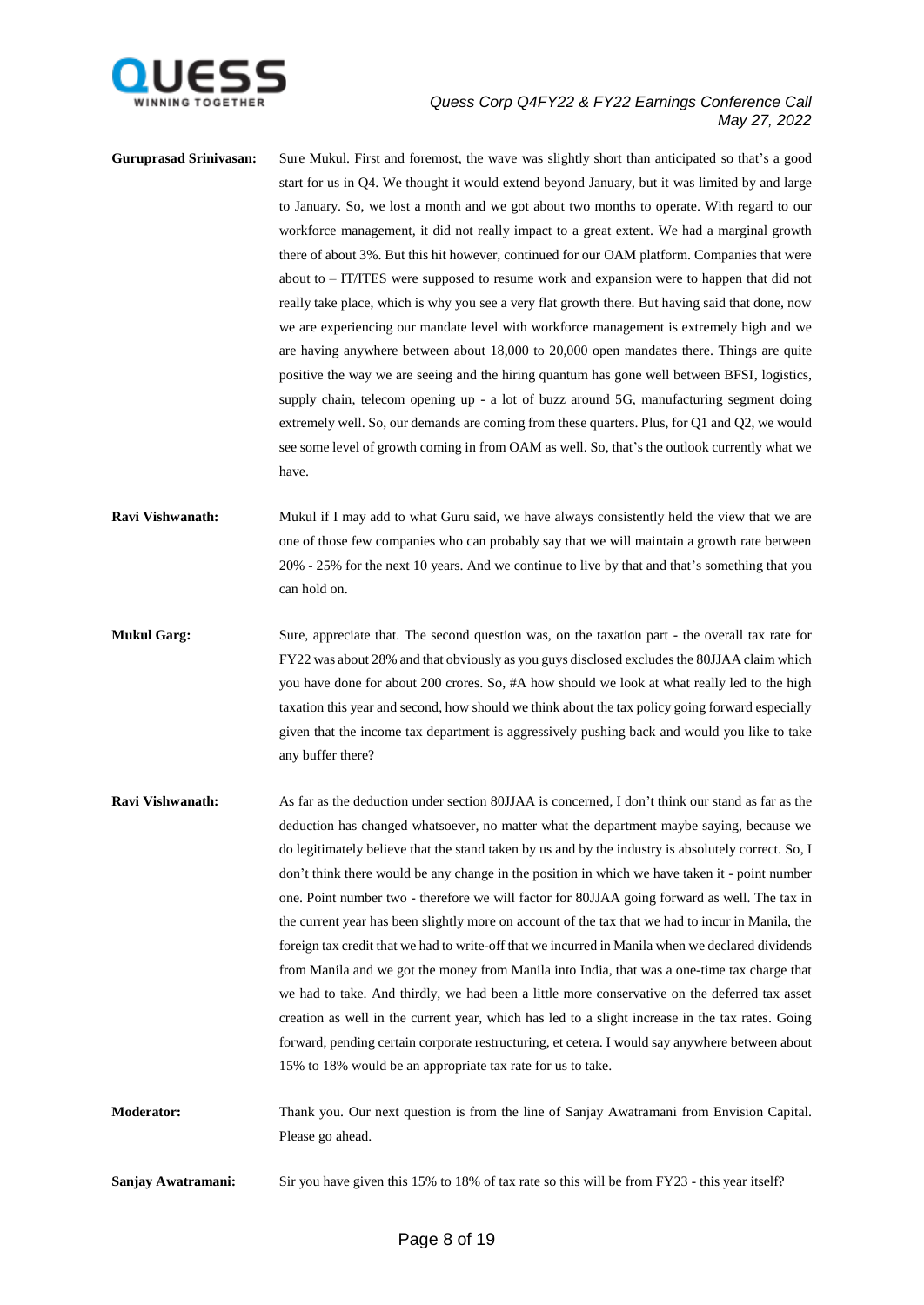

- **Guruprasad Srinivasan:** Sure Mukul. First and foremost, the wave was slightly short than anticipated so that's a good start for us in Q4. We thought it would extend beyond January, but it was limited by and large to January. So, we lost a month and we got about two months to operate. With regard to our workforce management, it did not really impact to a great extent. We had a marginal growth there of about 3%. But this hit however, continued for our OAM platform. Companies that were about to – IT/ITES were supposed to resume work and expansion were to happen that did not really take place, which is why you see a very flat growth there. But having said that done, now we are experiencing our mandate level with workforce management is extremely high and we are having anywhere between about 18,000 to 20,000 open mandates there. Things are quite positive the way we are seeing and the hiring quantum has gone well between BFSI, logistics, supply chain, telecom opening up - a lot of buzz around 5G, manufacturing segment doing extremely well. So, our demands are coming from these quarters. Plus, for Q1 and Q2, we would see some level of growth coming in from OAM as well. So, that's the outlook currently what we have.
- **Ravi Vishwanath:** Mukul if I may add to what Guru said, we have always consistently held the view that we are one of those few companies who can probably say that we will maintain a growth rate between 20% - 25% for the next 10 years. And we continue to live by that and that's something that you can hold on.
- **Mukul Garg:** Sure, appreciate that. The second question was, on the taxation part the overall tax rate for FY22 was about 28% and that obviously as you guys disclosed excludes the 80JJAA claim which you have done for about 200 crores. So, #A how should we look at what really led to the high taxation this year and second, how should we think about the tax policy going forward especially given that the income tax department is aggressively pushing back and would you like to take any buffer there?
- **Ravi Vishwanath:** As far as the deduction under section 80JJAA is concerned, I don't think our stand as far as the deduction has changed whatsoever, no matter what the department maybe saying, because we do legitimately believe that the stand taken by us and by the industry is absolutely correct. So, I don't think there would be any change in the position in which we have taken it - point number one. Point number two - therefore we will factor for 80JJAA going forward as well. The tax in the current year has been slightly more on account of the tax that we had to incur in Manila, the foreign tax credit that we had to write-off that we incurred in Manila when we declared dividends from Manila and we got the money from Manila into India, that was a one-time tax charge that we had to take. And thirdly, we had been a little more conservative on the deferred tax asset creation as well in the current year, which has led to a slight increase in the tax rates. Going forward, pending certain corporate restructuring, et cetera. I would say anywhere between about 15% to 18% would be an appropriate tax rate for us to take.
- **Moderator:** Thank you. Our next question is from the line of Sanjay Awatramani from Envision Capital. Please go ahead.

**Sanjay Awatramani:** Sir you have given this 15% to 18% of tax rate so this will be from FY23 - this year itself?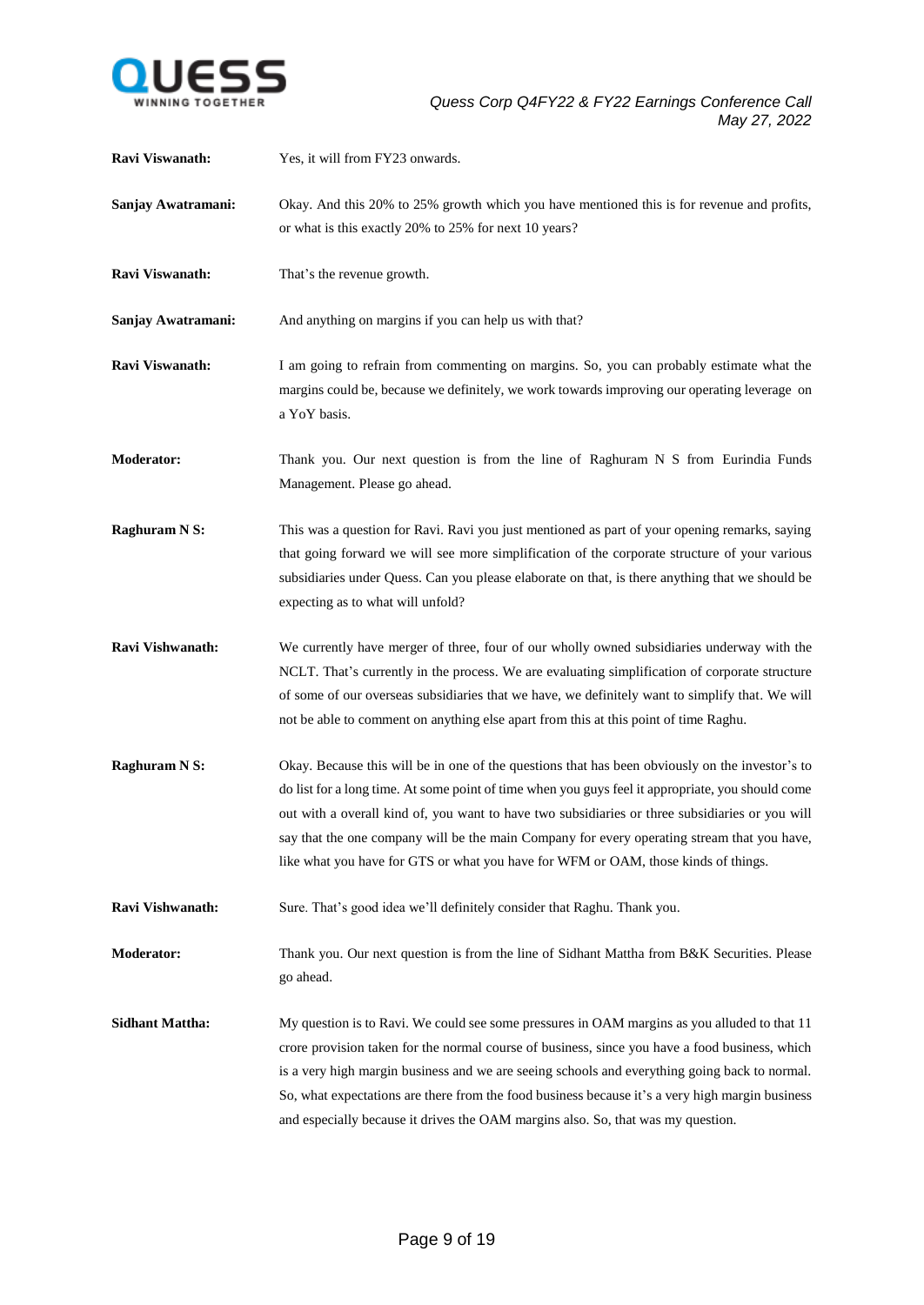

| Ravi Viswanath:        | Yes, it will from FY23 onwards.                                                                                                                                                                                                                                                                                                                                                                                                                                                              |
|------------------------|----------------------------------------------------------------------------------------------------------------------------------------------------------------------------------------------------------------------------------------------------------------------------------------------------------------------------------------------------------------------------------------------------------------------------------------------------------------------------------------------|
| Sanjay Awatramani:     | Okay. And this 20% to 25% growth which you have mentioned this is for revenue and profits,                                                                                                                                                                                                                                                                                                                                                                                                   |
|                        | or what is this exactly 20% to 25% for next 10 years?                                                                                                                                                                                                                                                                                                                                                                                                                                        |
| Ravi Viswanath:        | That's the revenue growth.                                                                                                                                                                                                                                                                                                                                                                                                                                                                   |
| Sanjay Awatramani:     | And anything on margins if you can help us with that?                                                                                                                                                                                                                                                                                                                                                                                                                                        |
| Ravi Viswanath:        | I am going to refrain from commenting on margins. So, you can probably estimate what the<br>margins could be, because we definitely, we work towards improving our operating leverage on<br>a YoY basis.                                                                                                                                                                                                                                                                                     |
| Moderator:             | Thank you. Our next question is from the line of Raghuram N S from Eurindia Funds<br>Management. Please go ahead.                                                                                                                                                                                                                                                                                                                                                                            |
| <b>Raghuram N S:</b>   | This was a question for Ravi. Ravi you just mentioned as part of your opening remarks, saying<br>that going forward we will see more simplification of the corporate structure of your various<br>subsidiaries under Quess. Can you please elaborate on that, is there anything that we should be<br>expecting as to what will unfold?                                                                                                                                                       |
| Ravi Vishwanath:       | We currently have merger of three, four of our wholly owned subsidiaries underway with the<br>NCLT. That's currently in the process. We are evaluating simplification of corporate structure<br>of some of our overseas subsidiaries that we have, we definitely want to simplify that. We will<br>not be able to comment on anything else apart from this at this point of time Raghu.                                                                                                      |
| <b>Raghuram N S:</b>   | Okay. Because this will be in one of the questions that has been obviously on the investor's to<br>do list for a long time. At some point of time when you guys feel it appropriate, you should come<br>out with a overall kind of, you want to have two subsidiaries or three subsidiaries or you will<br>say that the one company will be the main Company for every operating stream that you have,<br>like what you have for GTS or what you have for WFM or OAM, those kinds of things. |
| Ravi Vishwanath:       | Sure. That's good idea we'll definitely consider that Raghu. Thank you.                                                                                                                                                                                                                                                                                                                                                                                                                      |
| <b>Moderator:</b>      | Thank you. Our next question is from the line of Sidhant Mattha from B&K Securities. Please<br>go ahead.                                                                                                                                                                                                                                                                                                                                                                                     |
| <b>Sidhant Mattha:</b> | My question is to Ravi. We could see some pressures in OAM margins as you alluded to that 11<br>crore provision taken for the normal course of business, since you have a food business, which<br>is a very high margin business and we are seeing schools and everything going back to normal.<br>So, what expectations are there from the food business because it's a very high margin business<br>and especially because it drives the OAM margins also. So, that was my question.       |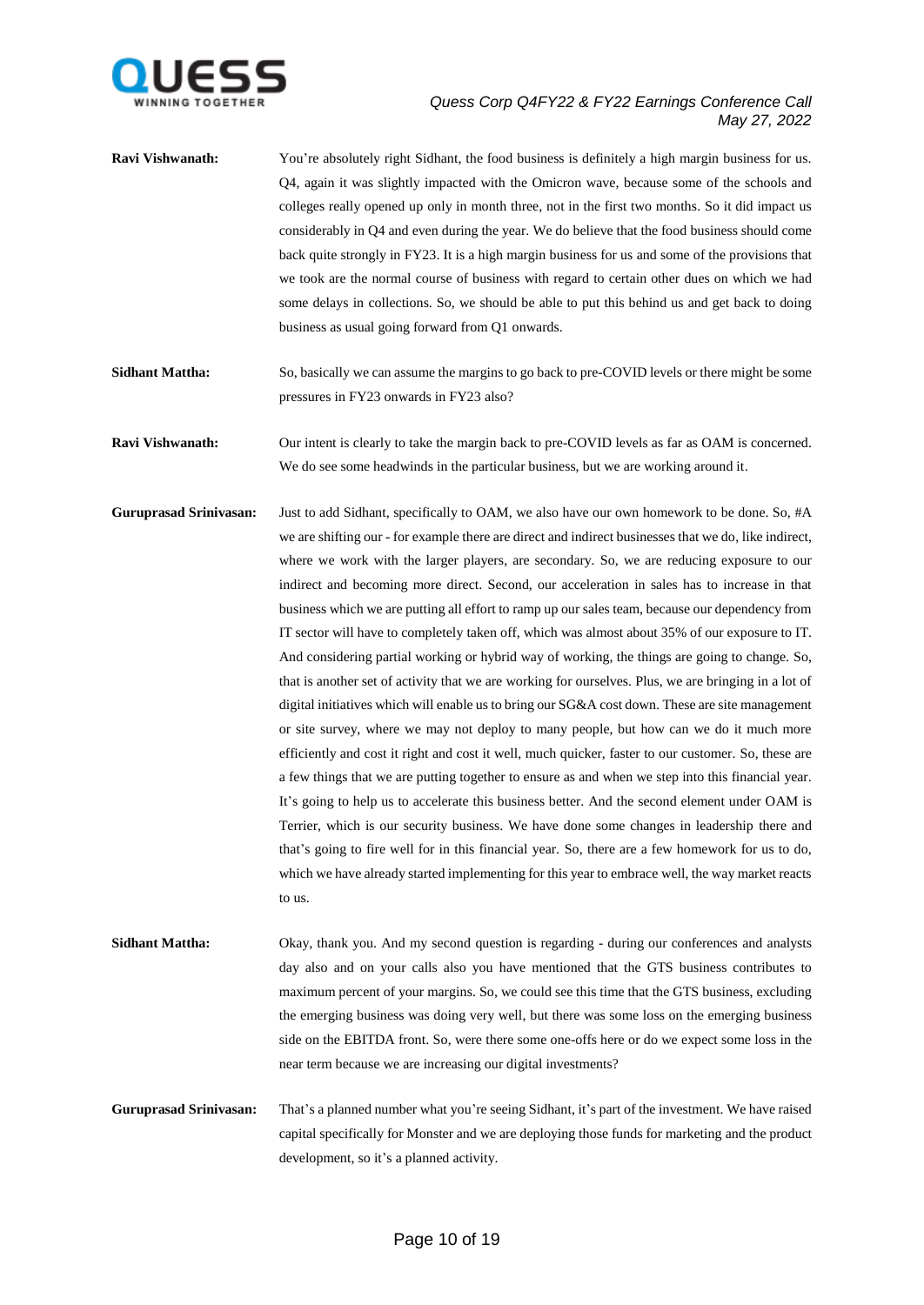

- **Ravi Vishwanath:** You're absolutely right Sidhant, the food business is definitely a high margin business for us. Q4, again it was slightly impacted with the Omicron wave, because some of the schools and colleges really opened up only in month three, not in the first two months. So it did impact us considerably in Q4 and even during the year. We do believe that the food business should come back quite strongly in FY23. It is a high margin business for us and some of the provisions that we took are the normal course of business with regard to certain other dues on which we had some delays in collections. So, we should be able to put this behind us and get back to doing business as usual going forward from Q1 onwards.
- **Sidhant Mattha:** So, basically we can assume the margins to go back to pre-COVID levels or there might be some pressures in FY23 onwards in FY23 also?
- **Ravi Vishwanath:** Our intent is clearly to take the margin back to pre-COVID levels as far as OAM is concerned. We do see some headwinds in the particular business, but we are working around it.
- **Guruprasad Srinivasan:** Just to add Sidhant, specifically to OAM, we also have our own homework to be done. So, #A we are shifting our - for example there are direct and indirect businesses that we do, like indirect, where we work with the larger players, are secondary. So, we are reducing exposure to our indirect and becoming more direct. Second, our acceleration in sales has to increase in that business which we are putting all effort to ramp up our sales team, because our dependency from IT sector will have to completely taken off, which was almost about 35% of our exposure to IT. And considering partial working or hybrid way of working, the things are going to change. So, that is another set of activity that we are working for ourselves. Plus, we are bringing in a lot of digital initiatives which will enable us to bring our SG&A cost down. These are site management or site survey, where we may not deploy to many people, but how can we do it much more efficiently and cost it right and cost it well, much quicker, faster to our customer. So, these are a few things that we are putting together to ensure as and when we step into this financial year. It's going to help us to accelerate this business better. And the second element under OAM is Terrier, which is our security business. We have done some changes in leadership there and that's going to fire well for in this financial year. So, there are a few homework for us to do, which we have already started implementing for this year to embrace well, the way market reacts to us.
- **Sidhant Mattha:** Okay, thank you. And my second question is regarding during our conferences and analysts day also and on your calls also you have mentioned that the GTS business contributes to maximum percent of your margins. So, we could see this time that the GTS business, excluding the emerging business was doing very well, but there was some loss on the emerging business side on the EBITDA front. So, were there some one-offs here or do we expect some loss in the near term because we are increasing our digital investments?
- **Guruprasad Srinivasan:** That's a planned number what you're seeing Sidhant, it's part of the investment. We have raised capital specifically for Monster and we are deploying those funds for marketing and the product development, so it's a planned activity.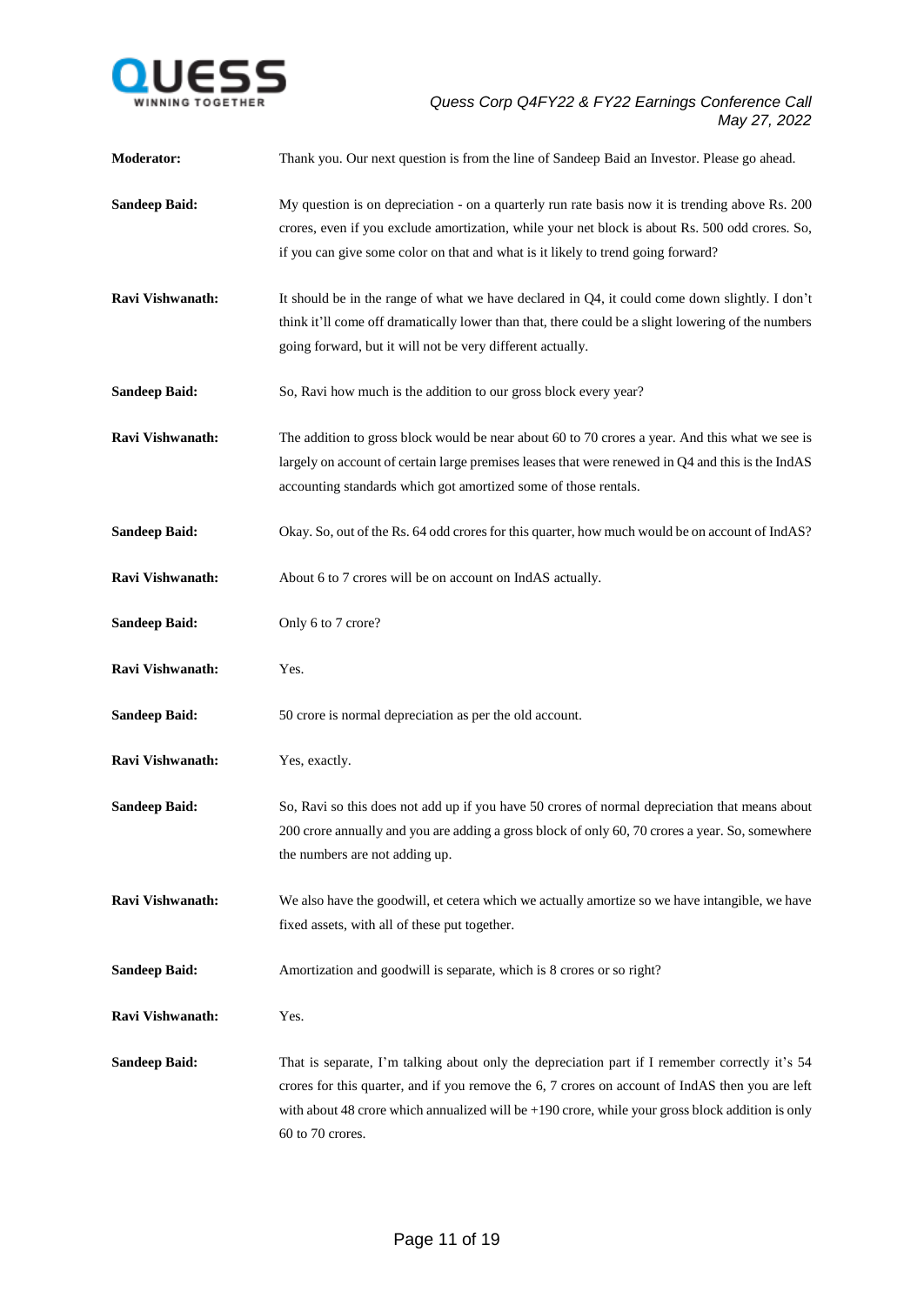

| <b>Moderator:</b>       | Thank you. Our next question is from the line of Sandeep Baid an Investor. Please go ahead.                                                                                                                                                                                                                                  |
|-------------------------|------------------------------------------------------------------------------------------------------------------------------------------------------------------------------------------------------------------------------------------------------------------------------------------------------------------------------|
| <b>Sandeep Baid:</b>    | My question is on depreciation - on a quarterly run rate basis now it is trending above Rs. 200<br>crores, even if you exclude amortization, while your net block is about Rs. 500 odd crores. So,<br>if you can give some color on that and what is it likely to trend going forward?                                       |
| <b>Ravi Vishwanath:</b> | It should be in the range of what we have declared in Q4, it could come down slightly. I don't<br>think it'll come off dramatically lower than that, there could be a slight lowering of the numbers<br>going forward, but it will not be very different actually.                                                           |
| <b>Sandeep Baid:</b>    | So, Ravi how much is the addition to our gross block every year?                                                                                                                                                                                                                                                             |
| Ravi Vishwanath:        | The addition to gross block would be near about 60 to 70 crores a year. And this what we see is<br>largely on account of certain large premises leases that were renewed in Q4 and this is the IndAS<br>accounting standards which got amortized some of those rentals.                                                      |
| <b>Sandeep Baid:</b>    | Okay. So, out of the Rs. 64 odd crores for this quarter, how much would be on account of IndAS?                                                                                                                                                                                                                              |
| Ravi Vishwanath:        | About 6 to 7 crores will be on account on IndAS actually.                                                                                                                                                                                                                                                                    |
| <b>Sandeep Baid:</b>    | Only 6 to 7 crore?                                                                                                                                                                                                                                                                                                           |
| Ravi Vishwanath:        | Yes.                                                                                                                                                                                                                                                                                                                         |
| <b>Sandeep Baid:</b>    | 50 crore is normal depreciation as per the old account.                                                                                                                                                                                                                                                                      |
| Ravi Vishwanath:        | Yes, exactly.                                                                                                                                                                                                                                                                                                                |
| <b>Sandeep Baid:</b>    | So, Ravi so this does not add up if you have 50 crores of normal depreciation that means about<br>200 crore annually and you are adding a gross block of only 60, 70 crores a year. So, somewhere<br>the numbers are not adding up.                                                                                          |
| Ravi Vishwanath:        | We also have the goodwill, et cetera which we actually amortize so we have intangible, we have<br>fixed assets, with all of these put together.                                                                                                                                                                              |
| <b>Sandeep Baid:</b>    | Amortization and goodwill is separate, which is 8 crores or so right?                                                                                                                                                                                                                                                        |
| Ravi Vishwanath:        | Yes.                                                                                                                                                                                                                                                                                                                         |
| <b>Sandeep Baid:</b>    | That is separate, I'm talking about only the depreciation part if I remember correctly it's 54<br>crores for this quarter, and if you remove the 6, 7 crores on account of IndAS then you are left<br>with about 48 crore which annualized will be $+190$ crore, while your gross block addition is only<br>60 to 70 crores. |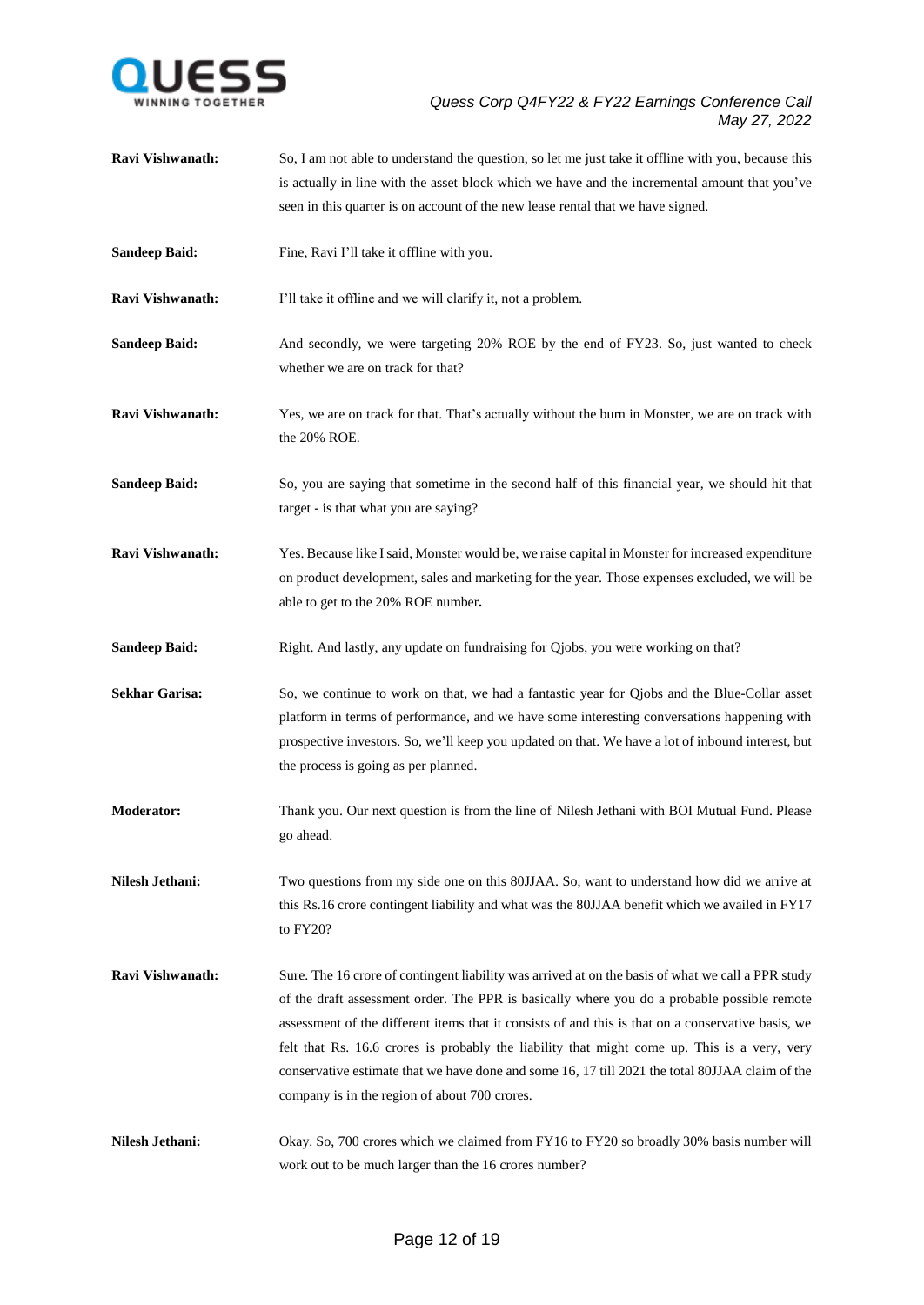

**Ravi Vishwanath:** So, I am not able to understand the question, so let me just take it offline with you, because this is actually in line with the asset block which we have and the incremental amount that you've seen in this quarter is on account of the new lease rental that we have signed. **Sandeep Baid:** Fine, Ravi I'll take it offline with you. **Ravi Vishwanath:** I'll take it offline and we will clarify it, not a problem. **Sandeep Baid:** And secondly, we were targeting 20% ROE by the end of FY23. So, just wanted to check whether we are on track for that? **Ravi Vishwanath:** Yes, we are on track for that. That's actually without the burn in Monster, we are on track with the 20% ROE. **Sandeep Baid:** So, you are saying that sometime in the second half of this financial year, we should hit that target - is that what you are saying? **Ravi Vishwanath:** Yes. Because like I said, Monster would be, we raise capital in Monster for increased expenditure on product development, sales and marketing for the year. Those expenses excluded, we will be able to get to the 20% ROE number**. Sandeep Baid:** Right. And lastly, any update on fundraising for Qiobs, you were working on that? **Sekhar Garisa:** So, we continue to work on that, we had a fantastic year for Qjobs and the Blue-Collar asset platform in terms of performance, and we have some interesting conversations happening with prospective investors. So, we'll keep you updated on that. We have a lot of inbound interest, but the process is going as per planned. **Moderator:** Thank you. Our next question is from the line of Nilesh Jethani with BOI Mutual Fund. Please go ahead. **Nilesh Jethani:** Two questions from my side one on this 80JJAA. So, want to understand how did we arrive at this Rs.16 crore contingent liability and what was the 80JJAA benefit which we availed in FY17 to FY20? **Ravi Vishwanath:** Sure. The 16 crore of contingent liability was arrived at on the basis of what we call a PPR study of the draft assessment order. The PPR is basically where you do a probable possible remote assessment of the different items that it consists of and this is that on a conservative basis, we felt that Rs. 16.6 crores is probably the liability that might come up. This is a very, very conservative estimate that we have done and some 16, 17 till 2021 the total 80JJAA claim of the company is in the region of about 700 crores. Nilesh Jethani: Okay. So, 700 crores which we claimed from FY16 to FY20 so broadly 30% basis number will work out to be much larger than the 16 crores number?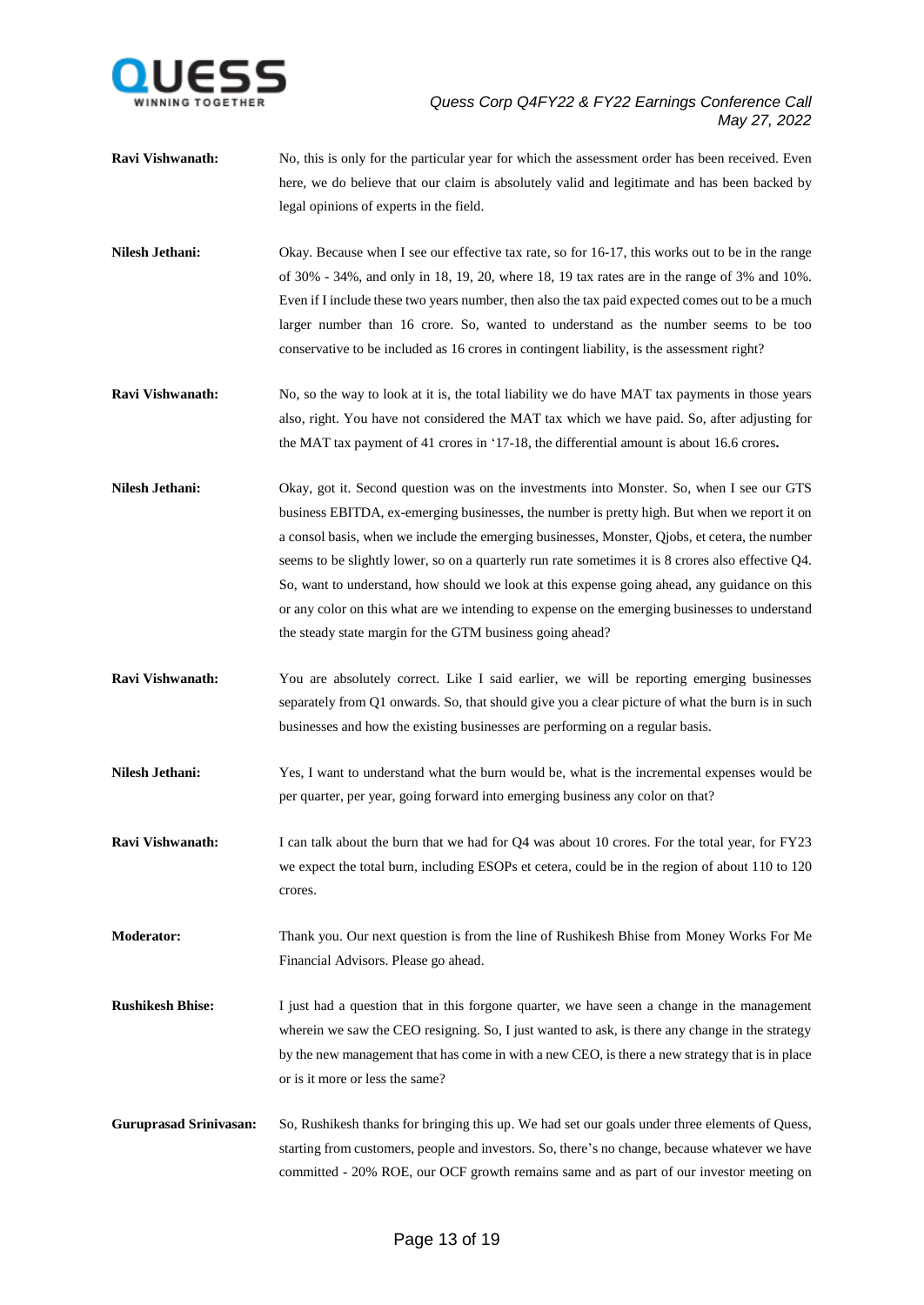

- **Ravi Vishwanath:** No, this is only for the particular year for which the assessment order has been received. Even here, we do believe that our claim is absolutely valid and legitimate and has been backed by legal opinions of experts in the field.
- Nilesh Jethani: Okay. Because when I see our effective tax rate, so for 16-17, this works out to be in the range of 30% - 34%, and only in 18, 19, 20, where 18, 19 tax rates are in the range of 3% and 10%. Even if I include these two years number, then also the tax paid expected comes out to be a much larger number than 16 crore. So, wanted to understand as the number seems to be too conservative to be included as 16 crores in contingent liability, is the assessment right?
- **Ravi Vishwanath:** No, so the way to look at it is, the total liability we do have MAT tax payments in those years also, right. You have not considered the MAT tax which we have paid. So, after adjusting for the MAT tax payment of 41 crores in '17-18, the differential amount is about 16.6 crores**.**
- **Nilesh Jethani:** Okay, got it. Second question was on the investments into Monster. So, when I see our GTS business EBITDA, ex-emerging businesses, the number is pretty high. But when we report it on a consol basis, when we include the emerging businesses, Monster, Qjobs, et cetera, the number seems to be slightly lower, so on a quarterly run rate sometimes it is 8 crores also effective Q4. So, want to understand, how should we look at this expense going ahead, any guidance on this or any color on this what are we intending to expense on the emerging businesses to understand the steady state margin for the GTM business going ahead?
- **Ravi Vishwanath:** You are absolutely correct. Like I said earlier, we will be reporting emerging businesses separately from Q1 onwards. So, that should give you a clear picture of what the burn is in such businesses and how the existing businesses are performing on a regular basis.
- **Nilesh Jethani:** Yes, I want to understand what the burn would be, what is the incremental expenses would be per quarter, per year, going forward into emerging business any color on that?
- **Ravi Vishwanath:** I can talk about the burn that we had for Q4 was about 10 crores. For the total year, for FY23 we expect the total burn, including ESOPs et cetera, could be in the region of about 110 to 120 crores.
- **Moderator:** Thank you. Our next question is from the line of Rushikesh Bhise from Money Works For Me Financial Advisors. Please go ahead.
- **Rushikesh Bhise:** I just had a question that in this forgone quarter, we have seen a change in the management wherein we saw the CEO resigning. So, I just wanted to ask, is there any change in the strategy by the new management that has come in with a new CEO, is there a new strategy that is in place or is it more or less the same?
- **Guruprasad Srinivasan:** So, Rushikesh thanks for bringing this up. We had set our goals under three elements of Quess, starting from customers, people and investors. So, there's no change, because whatever we have committed - 20% ROE, our OCF growth remains same and as part of our investor meeting on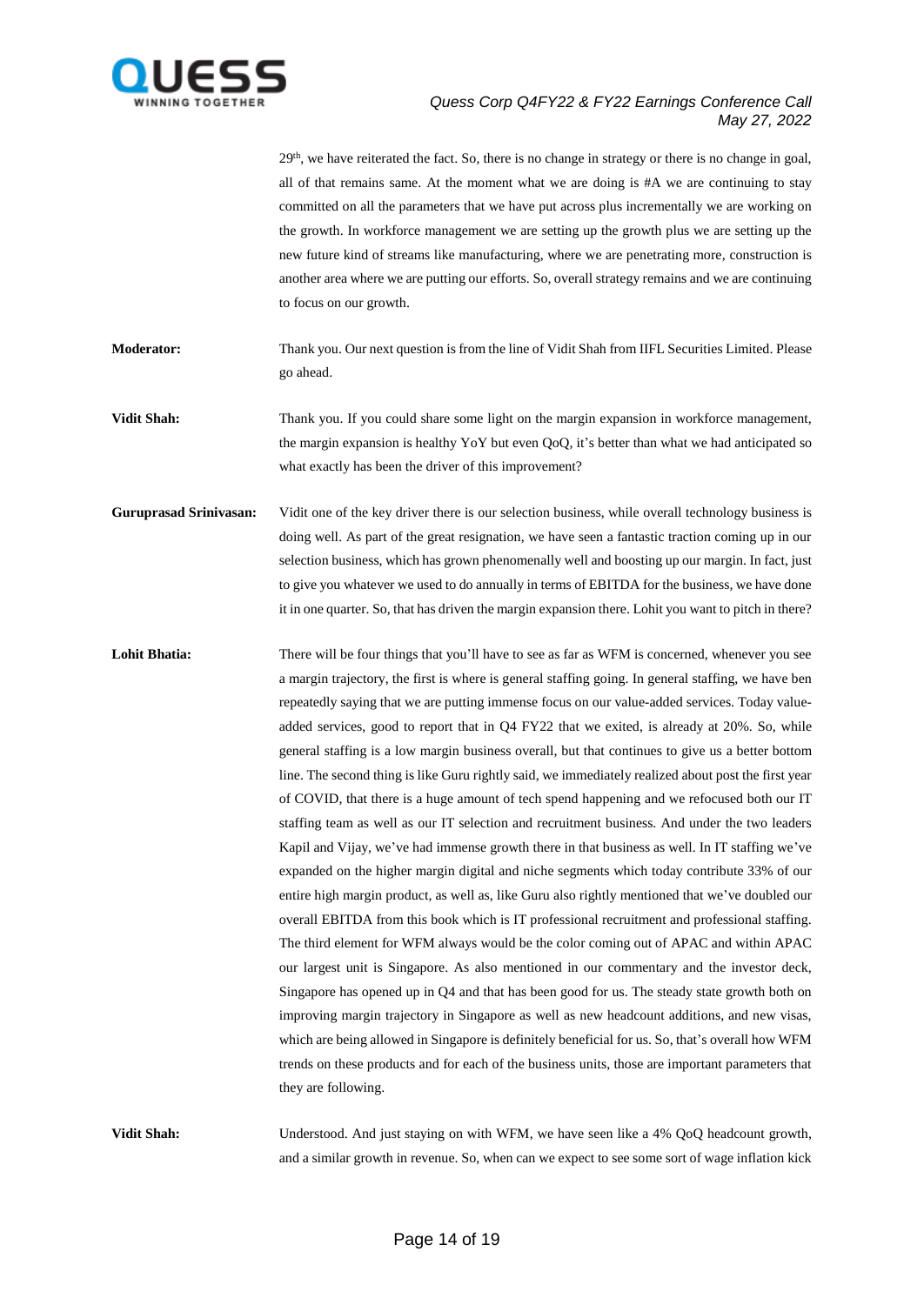

29<sup>th</sup>, we have reiterated the fact. So, there is no change in strategy or there is no change in goal, all of that remains same. At the moment what we are doing is  $#A$  we are continuing to stay committed on all the parameters that we have put across plus incrementally we are working on the growth. In workforce management we are setting up the growth plus we are setting up the new future kind of streams like manufacturing, where we are penetrating more, construction is another area where we are putting our efforts. So, overall strategy remains and we are continuing to focus on our growth.

**Moderator:** Thank you. Our next question is from the line of Vidit Shah from IIFL Securities Limited. Please go ahead.

**Vidit Shah:** Thank you. If you could share some light on the margin expansion in workforce management, the margin expansion is healthy YoY but even QoQ, it's better than what we had anticipated so what exactly has been the driver of this improvement?

**Guruprasad Srinivasan:** Vidit one of the key driver there is our selection business, while overall technology business is doing well. As part of the great resignation, we have seen a fantastic traction coming up in our selection business, which has grown phenomenally well and boosting up our margin. In fact, just to give you whatever we used to do annually in terms of EBITDA for the business, we have done it in one quarter. So, that has driven the margin expansion there. Lohit you want to pitch in there?

Lohit Bhatia: There will be four things that you'll have to see as far as WFM is concerned, whenever you see a margin trajectory, the first is where is general staffing going. In general staffing, we have ben repeatedly saying that we are putting immense focus on our value-added services. Today valueadded services, good to report that in Q4 FY22 that we exited, is already at 20%. So, while general staffing is a low margin business overall, but that continues to give us a better bottom line. The second thing is like Guru rightly said, we immediately realized about post the first year of COVID, that there is a huge amount of tech spend happening and we refocused both our IT staffing team as well as our IT selection and recruitment business. And under the two leaders Kapil and Vijay, we've had immense growth there in that business as well. In IT staffing we've expanded on the higher margin digital and niche segments which today contribute 33% of our entire high margin product, as well as, like Guru also rightly mentioned that we've doubled our overall EBITDA from this book which is IT professional recruitment and professional staffing. The third element for WFM always would be the color coming out of APAC and within APAC our largest unit is Singapore. As also mentioned in our commentary and the investor deck, Singapore has opened up in Q4 and that has been good for us. The steady state growth both on improving margin trajectory in Singapore as well as new headcount additions, and new visas, which are being allowed in Singapore is definitely beneficial for us. So, that's overall how WFM trends on these products and for each of the business units, those are important parameters that they are following.

**Vidit Shah:** Understood. And just staying on with WFM, we have seen like a 4% QoQ headcount growth, and a similar growth in revenue. So, when can we expect to see some sort of wage inflation kick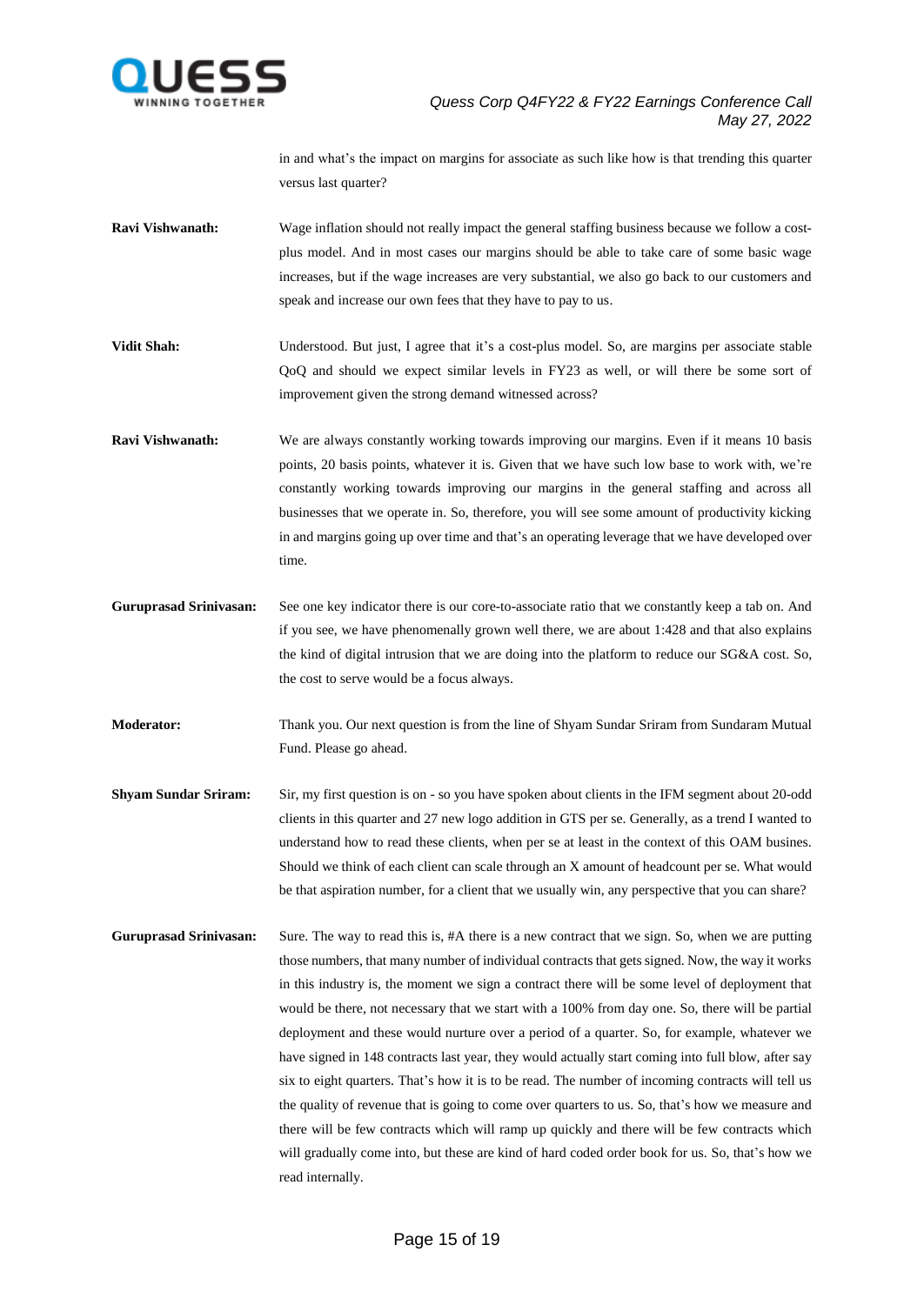

in and what's the impact on margins for associate as such like how is that trending this quarter versus last quarter?

- **Ravi Vishwanath:** Wage inflation should not really impact the general staffing business because we follow a costplus model. And in most cases our margins should be able to take care of some basic wage increases, but if the wage increases are very substantial, we also go back to our customers and speak and increase our own fees that they have to pay to us.
- Vidit Shah: Understood. But just, I agree that it's a cost-plus model. So, are margins per associate stable QoQ and should we expect similar levels in FY23 as well, or will there be some sort of improvement given the strong demand witnessed across?
- **Ravi Vishwanath:** We are always constantly working towards improving our margins. Even if it means 10 basis points, 20 basis points, whatever it is. Given that we have such low base to work with, we're constantly working towards improving our margins in the general staffing and across all businesses that we operate in. So, therefore, you will see some amount of productivity kicking in and margins going up over time and that's an operating leverage that we have developed over time.
- **Guruprasad Srinivasan:** See one key indicator there is our core-to-associate ratio that we constantly keep a tab on. And if you see, we have phenomenally grown well there, we are about 1:428 and that also explains the kind of digital intrusion that we are doing into the platform to reduce our SG&A cost. So, the cost to serve would be a focus always.
- **Moderator:** Thank you. Our next question is from the line of Shyam Sundar Sriram from Sundaram Mutual Fund. Please go ahead.
- **Shyam Sundar Sriram:** Sir, my first question is on so you have spoken about clients in the IFM segment about 20-odd clients in this quarter and 27 new logo addition in GTS per se. Generally, as a trend I wanted to understand how to read these clients, when per se at least in the context of this OAM busines. Should we think of each client can scale through an X amount of headcount per se. What would be that aspiration number, for a client that we usually win, any perspective that you can share?
- **Guruprasad Srinivasan:** Sure. The way to read this is, #A there is a new contract that we sign. So, when we are putting those numbers, that many number of individual contracts that gets signed. Now, the way it works in this industry is, the moment we sign a contract there will be some level of deployment that would be there, not necessary that we start with a 100% from day one. So, there will be partial deployment and these would nurture over a period of a quarter. So, for example, whatever we have signed in 148 contracts last year, they would actually start coming into full blow, after say six to eight quarters. That's how it is to be read. The number of incoming contracts will tell us the quality of revenue that is going to come over quarters to us. So, that's how we measure and there will be few contracts which will ramp up quickly and there will be few contracts which will gradually come into, but these are kind of hard coded order book for us. So, that's how we read internally.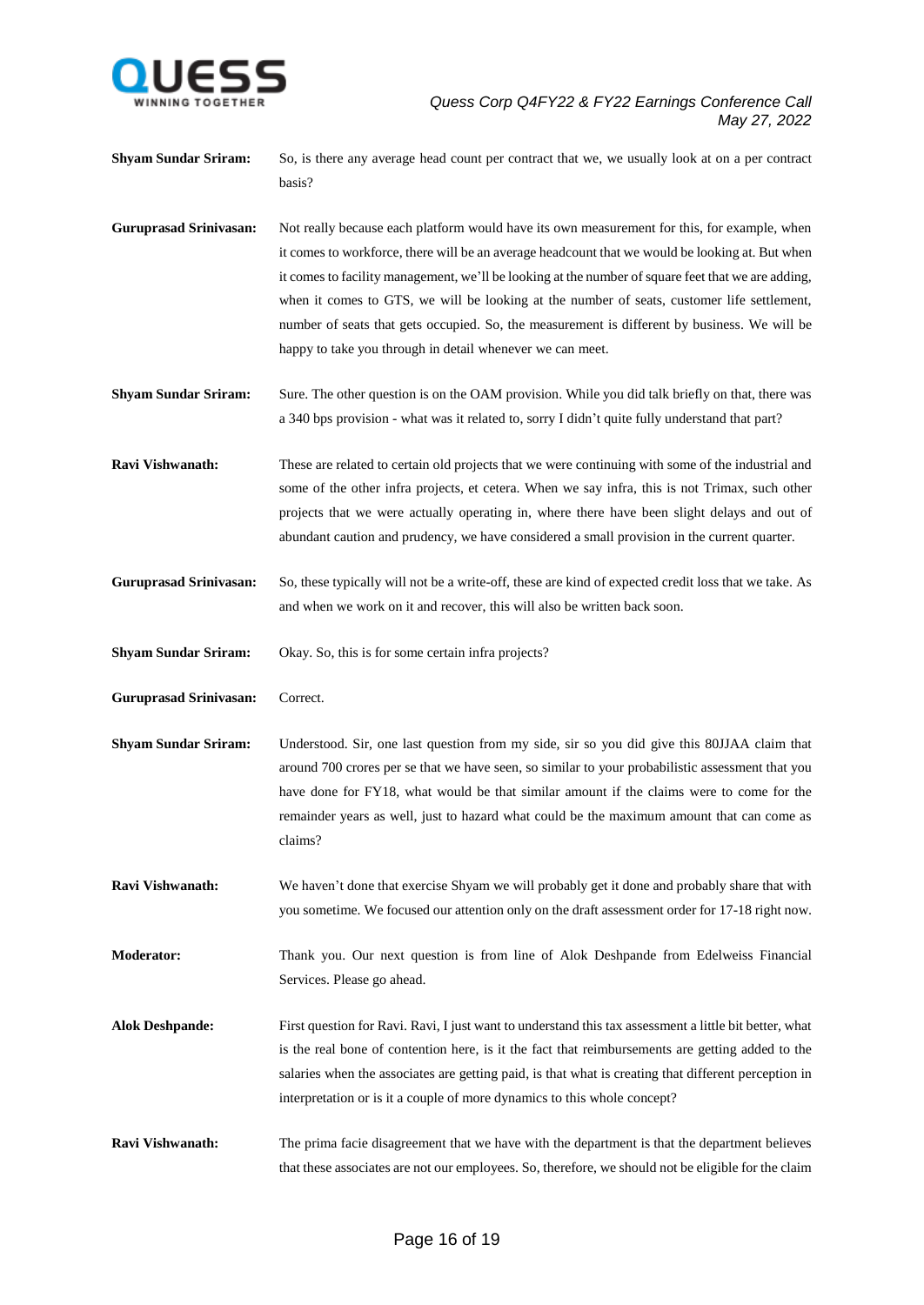

**Shyam Sundar Sriram:** So, is there any average head count per contract that we, we usually look at on a per contract basis?

**Guruprasad Srinivasan:** Not really because each platform would have its own measurement for this, for example, when it comes to workforce, there will be an average headcount that we would be looking at. But when it comes to facility management, we'll be looking at the number of square feet that we are adding, when it comes to GTS, we will be looking at the number of seats, customer life settlement, number of seats that gets occupied. So, the measurement is different by business. We will be happy to take you through in detail whenever we can meet.

**Shyam Sundar Sriram:** Sure. The other question is on the OAM provision. While you did talk briefly on that, there was a 340 bps provision - what was it related to, sorry I didn't quite fully understand that part?

**Ravi Vishwanath:** These are related to certain old projects that we were continuing with some of the industrial and some of the other infra projects, et cetera. When we say infra, this is not Trimax, such other projects that we were actually operating in, where there have been slight delays and out of abundant caution and prudency, we have considered a small provision in the current quarter.

**Guruprasad Srinivasan:** So, these typically will not be a write-off, these are kind of expected credit loss that we take. As and when we work on it and recover, this will also be written back soon.

**Shyam Sundar Sriram:** Okay. So, this is for some certain infra projects?

**Guruprasad Srinivasan:** Correct.

**Shyam Sundar Sriram:** Understood. Sir, one last question from my side, sir so you did give this 80JJAA claim that around 700 crores per se that we have seen, so similar to your probabilistic assessment that you have done for FY18, what would be that similar amount if the claims were to come for the remainder years as well, just to hazard what could be the maximum amount that can come as claims?

**Ravi Vishwanath:** We haven't done that exercise Shyam we will probably get it done and probably share that with you sometime. We focused our attention only on the draft assessment order for 17-18 right now.

**Moderator:** Thank you. Our next question is from line of Alok Deshpande from Edelweiss Financial Services. Please go ahead.

- **Alok Deshpande:** First question for Ravi. Ravi, I just want to understand this tax assessment a little bit better, what is the real bone of contention here, is it the fact that reimbursements are getting added to the salaries when the associates are getting paid, is that what is creating that different perception in interpretation or is it a couple of more dynamics to this whole concept?
- **Ravi Vishwanath:** The prima facie disagreement that we have with the department is that the department believes that these associates are not our employees. So, therefore, we should not be eligible for the claim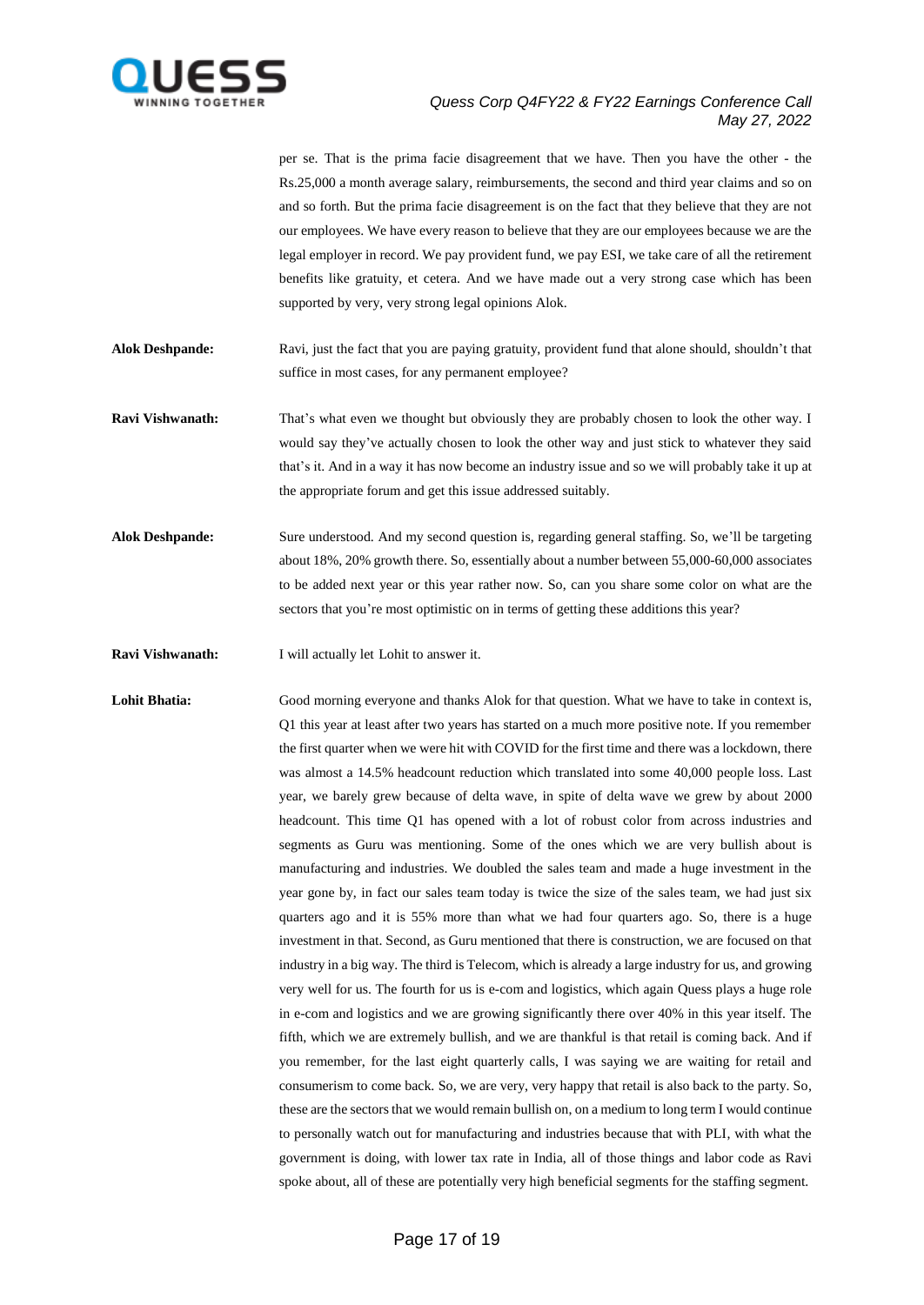

per se. That is the prima facie disagreement that we have. Then you have the other - the Rs.25,000 a month average salary, reimbursements, the second and third year claims and so on and so forth. But the prima facie disagreement is on the fact that they believe that they are not our employees. We have every reason to believe that they are our employees because we are the legal employer in record. We pay provident fund, we pay ESI, we take care of all the retirement benefits like gratuity, et cetera. And we have made out a very strong case which has been supported by very, very strong legal opinions Alok.

**Alok Deshpande:** Ravi, just the fact that you are paying gratuity, provident fund that alone should, shouldn't that suffice in most cases, for any permanent employee?

**Ravi Vishwanath:** That's what even we thought but obviously they are probably chosen to look the other way. I would say they've actually chosen to look the other way and just stick to whatever they said that's it. And in a way it has now become an industry issue and so we will probably take it up at the appropriate forum and get this issue addressed suitably.

**Alok Deshpande:** Sure understood. And my second question is, regarding general staffing. So, we'll be targeting about 18%, 20% growth there. So, essentially about a number between 55,000-60,000 associates to be added next year or this year rather now. So, can you share some color on what are the sectors that you're most optimistic on in terms of getting these additions this year?

**Ravi Vishwanath:** I will actually let Lohit to answer it.

Lohit Bhatia: Good morning everyone and thanks Alok for that question. What we have to take in context is, Q1 this year at least after two years has started on a much more positive note. If you remember the first quarter when we were hit with COVID for the first time and there was a lockdown, there was almost a 14.5% headcount reduction which translated into some 40,000 people loss. Last year, we barely grew because of delta wave, in spite of delta wave we grew by about 2000 headcount. This time Q1 has opened with a lot of robust color from across industries and segments as Guru was mentioning. Some of the ones which we are very bullish about is manufacturing and industries. We doubled the sales team and made a huge investment in the year gone by, in fact our sales team today is twice the size of the sales team, we had just six quarters ago and it is 55% more than what we had four quarters ago. So, there is a huge investment in that. Second, as Guru mentioned that there is construction, we are focused on that industry in a big way. The third is Telecom, which is already a large industry for us, and growing very well for us. The fourth for us is e-com and logistics, which again Quess plays a huge role in e-com and logistics and we are growing significantly there over 40% in this year itself. The fifth, which we are extremely bullish, and we are thankful is that retail is coming back. And if you remember, for the last eight quarterly calls, I was saying we are waiting for retail and consumerism to come back. So, we are very, very happy that retail is also back to the party. So, these are the sectors that we would remain bullish on, on a medium to long term I would continue to personally watch out for manufacturing and industries because that with PLI, with what the government is doing, with lower tax rate in India, all of those things and labor code as Ravi spoke about, all of these are potentially very high beneficial segments for the staffing segment.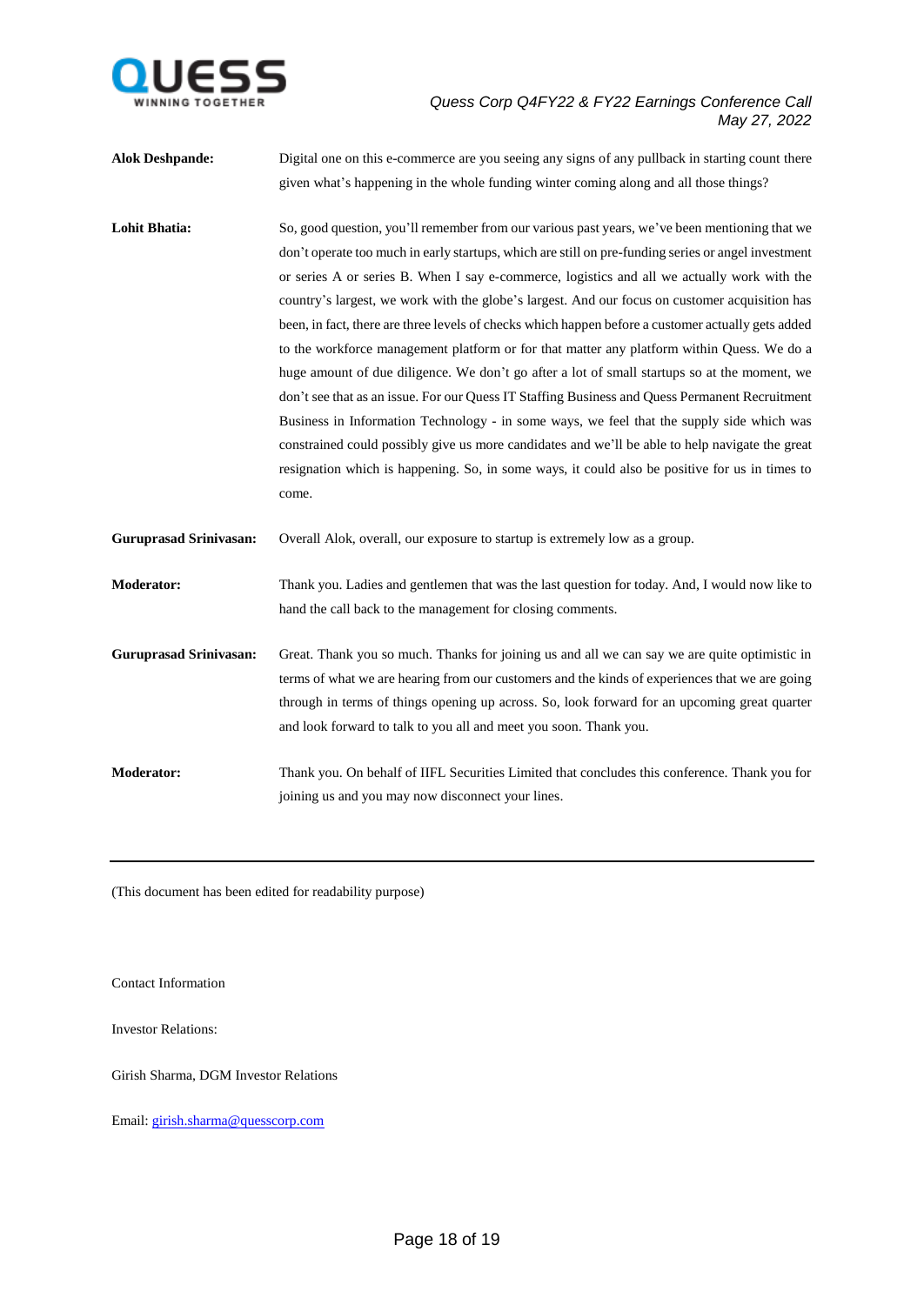

| <b>Alok Deshpande:</b>        | Digital one on this e-commerce are you seeing any signs of any pullback in starting count there                                                                                                                                                                                                                                                                                                                                                                                                                                                                                                                                                                                                                                                                                                                                                                                                                                                                                                                                                                                                                        |
|-------------------------------|------------------------------------------------------------------------------------------------------------------------------------------------------------------------------------------------------------------------------------------------------------------------------------------------------------------------------------------------------------------------------------------------------------------------------------------------------------------------------------------------------------------------------------------------------------------------------------------------------------------------------------------------------------------------------------------------------------------------------------------------------------------------------------------------------------------------------------------------------------------------------------------------------------------------------------------------------------------------------------------------------------------------------------------------------------------------------------------------------------------------|
|                               | given what's happening in the whole funding winter coming along and all those things?                                                                                                                                                                                                                                                                                                                                                                                                                                                                                                                                                                                                                                                                                                                                                                                                                                                                                                                                                                                                                                  |
| <b>Lohit Bhatia:</b>          | So, good question, you'll remember from our various past years, we've been mentioning that we<br>don't operate too much in early startups, which are still on pre-funding series or angel investment<br>or series A or series B. When I say e-commerce, logistics and all we actually work with the<br>country's largest, we work with the globe's largest. And our focus on customer acquisition has<br>been, in fact, there are three levels of checks which happen before a customer actually gets added<br>to the workforce management platform or for that matter any platform within Quess. We do a<br>huge amount of due diligence. We don't go after a lot of small startups so at the moment, we<br>don't see that as an issue. For our Quess IT Staffing Business and Quess Permanent Recruitment<br>Business in Information Technology - in some ways, we feel that the supply side which was<br>constrained could possibly give us more candidates and we'll be able to help navigate the great<br>resignation which is happening. So, in some ways, it could also be positive for us in times to<br>come. |
| <b>Guruprasad Srinivasan:</b> | Overall Alok, overall, our exposure to startup is extremely low as a group.                                                                                                                                                                                                                                                                                                                                                                                                                                                                                                                                                                                                                                                                                                                                                                                                                                                                                                                                                                                                                                            |
| <b>Moderator:</b>             | Thank you. Ladies and gentlemen that was the last question for today. And, I would now like to<br>hand the call back to the management for closing comments.                                                                                                                                                                                                                                                                                                                                                                                                                                                                                                                                                                                                                                                                                                                                                                                                                                                                                                                                                           |
| <b>Guruprasad Srinivasan:</b> | Great. Thank you so much. Thanks for joining us and all we can say we are quite optimistic in<br>terms of what we are hearing from our customers and the kinds of experiences that we are going<br>through in terms of things opening up across. So, look forward for an upcoming great quarter<br>and look forward to talk to you all and meet you soon. Thank you.                                                                                                                                                                                                                                                                                                                                                                                                                                                                                                                                                                                                                                                                                                                                                   |
| <b>Moderator:</b>             | Thank you. On behalf of IIFL Securities Limited that concludes this conference. Thank you for<br>joining us and you may now disconnect your lines.                                                                                                                                                                                                                                                                                                                                                                                                                                                                                                                                                                                                                                                                                                                                                                                                                                                                                                                                                                     |

(This document has been edited for readability purpose)

Contact Information

Investor Relations:

Girish Sharma, DGM Investor Relations

Email: [girish.sharma@quesscorp.com](mailto:girish.sharma@quesscorp.com)